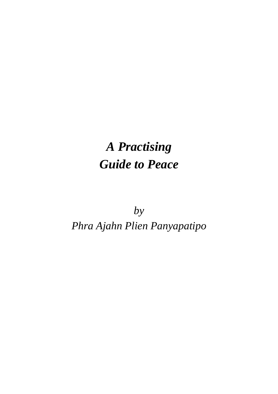## *A Practising Guide to Peace*

*by Phra Ajahn Plien Panyapatipo*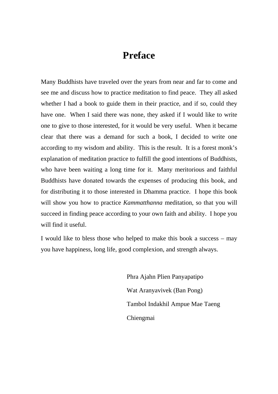## **Preface**

Many Buddhists have traveled over the years from near and far to come and see me and discuss how to practice meditation to find peace. They all asked whether I had a book to guide them in their practice, and if so, could they have one. When I said there was none, they asked if I would like to write one to give to those interested, for it would be very useful. When it became clear that there was a demand for such a book, I decided to write one according to my wisdom and ability. This is the result. It is a forest monk's explanation of meditation practice to fulfill the good intentions of Buddhists, who have been waiting a long time for it. Many meritorious and faithful Buddhists have donated towards the expenses of producing this book, and for distributing it to those interested in Dhamma practice. I hope this book will show you how to practice *Kammatthanna* meditation, so that you will succeed in finding peace according to your own faith and ability. I hope you will find it useful.

I would like to bless those who helped to make this book a success – may you have happiness, long life, good complexion, and strength always.

> Phra Ajahn Plien Panyapatipo Wat Aranyavivek (Ban Pong) Tambol Indakhil Ampue Mae Taeng Chiengmai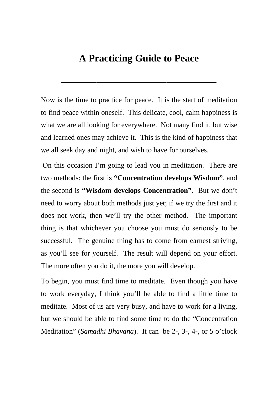## **A Practicing Guide to Peace**

**\_\_\_\_\_\_\_\_\_\_\_\_\_\_\_\_\_\_\_\_\_\_\_\_\_\_\_\_\_\_\_** 

Now is the time to practice for peace. It is the start of meditation to find peace within oneself. This delicate, cool, calm happiness is what we are all looking for everywhere. Not many find it, but wise and learned ones may achieve it. This is the kind of happiness that we all seek day and night, and wish to have for ourselves.

 On this occasion I'm going to lead you in meditation. There are two methods: the first is **"Concentration develops Wisdom"**, and the second is **"Wisdom develops Concentration"**. But we don't need to worry about both methods just yet; if we try the first and it does not work, then we'll try the other method. The important thing is that whichever you choose you must do seriously to be successful. The genuine thing has to come from earnest striving, as you'll see for yourself. The result will depend on your effort. The more often you do it, the more you will develop.

To begin, you must find time to meditate. Even though you have to work everyday, I think you'll be able to find a little time to meditate. Most of us are very busy, and have to work for a living, but we should be able to find some time to do the "Concentration Meditation" (*Samadhi Bhavana*). It can be 2-, 3-, 4-, or 5 o'clock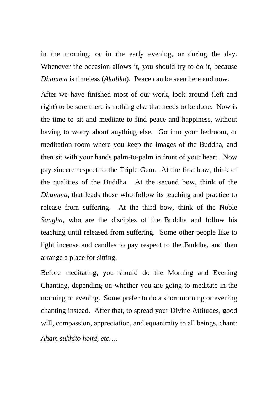in the morning, or in the early evening, or during the day. Whenever the occasion allows it, you should try to do it, because *Dhamma* is timeless (*Akaliko*). Peace can be seen here and now.

After we have finished most of our work, look around (left and right) to be sure there is nothing else that needs to be done. Now is the time to sit and meditate to find peace and happiness, without having to worry about anything else. Go into your bedroom, or meditation room where you keep the images of the Buddha, and then sit with your hands palm-to-palm in front of your heart. Now pay sincere respect to the Triple Gem. At the first bow, think of the qualities of the Buddha. At the second bow, think of the *Dhamma*, that leads those who follow its teaching and practice to release from suffering. At the third bow, think of the Noble *Sangha*, who are the disciples of the Buddha and follow his teaching until released from suffering. Some other people like to light incense and candles to pay respect to the Buddha, and then arrange a place for sitting.

Before meditating, you should do the Morning and Evening Chanting, depending on whether you are going to meditate in the morning or evening. Some prefer to do a short morning or evening chanting instead. After that, to spread your Divine Attitudes, good will, compassion, appreciation, and equanimity to all beings, chant: *Aham sukhito homi, etc….*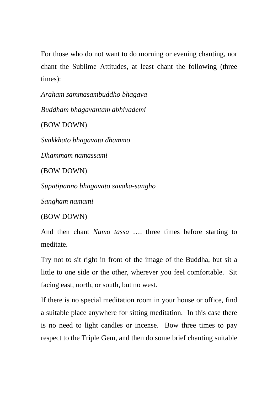For those who do not want to do morning or evening chanting, nor chant the Sublime Attitudes, at least chant the following (three times):

*Araham sammasambuddho bhagava* 

*Buddham bhagavantam abhivademi* 

(BOW DOWN)

*Svakkhato bhagavata dhammo* 

*Dhammam namassami* 

(BOW DOWN)

*Supatipanno bhagavato savaka-sangho* 

*Sangham namami* 

(BOW DOWN)

And then chant *Namo tassa* …. three times before starting to meditate.

Try not to sit right in front of the image of the Buddha, but sit a little to one side or the other, wherever you feel comfortable. Sit facing east, north, or south, but no west.

If there is no special meditation room in your house or office, find a suitable place anywhere for sitting meditation. In this case there is no need to light candles or incense. Bow three times to pay respect to the Triple Gem, and then do some brief chanting suitable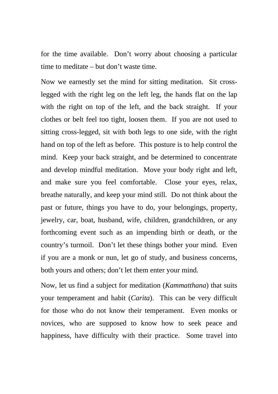for the time available. Don't worry about choosing a particular time to meditate – but don't waste time.

Now we earnestly set the mind for sitting meditation. Sit crosslegged with the right leg on the left leg, the hands flat on the lap with the right on top of the left, and the back straight. If your clothes or belt feel too tight, loosen them. If you are not used to sitting cross-legged, sit with both legs to one side, with the right hand on top of the left as before. This posture is to help control the mind. Keep your back straight, and be determined to concentrate and develop mindful meditation. Move your body right and left, and make sure you feel comfortable. Close your eyes, relax, breathe naturally, and keep your mind still. Do not think about the past or future, things you have to do, your belongings, property, jewelry, car, boat, husband, wife, children, grandchildren, or any forthcoming event such as an impending birth or death, or the country's turmoil. Don't let these things bother your mind. Even if you are a monk or nun, let go of study, and business concerns, both yours and others; don't let them enter your mind.

Now, let us find a subject for meditation (*Kammatthana*) that suits your temperament and habit (*Carita*). This can be very difficult for those who do not know their temperament. Even monks or novices, who are supposed to know how to seek peace and happiness, have difficulty with their practice. Some travel into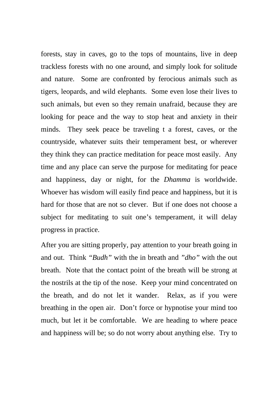forests, stay in caves, go to the tops of mountains, live in deep trackless forests with no one around, and simply look for solitude and nature. Some are confronted by ferocious animals such as tigers, leopards, and wild elephants. Some even lose their lives to such animals, but even so they remain unafraid, because they are looking for peace and the way to stop heat and anxiety in their minds. They seek peace be traveling t a forest, caves, or the countryside, whatever suits their temperament best, or wherever they think they can practice meditation for peace most easily. Any time and any place can serve the purpose for meditating for peace and happiness, day or night, for the *Dhamma* is worldwide. Whoever has wisdom will easily find peace and happiness, but it is hard for those that are not so clever. But if one does not choose a subject for meditating to suit one's temperament, it will delay progress in practice.

After you are sitting properly, pay attention to your breath going in and out. Think *"Budh"* with the in breath and *"dho"* with the out breath. Note that the contact point of the breath will be strong at the nostrils at the tip of the nose. Keep your mind concentrated on the breath, and do not let it wander. Relax, as if you were breathing in the open air. Don't force or hypnotise your mind too much, but let it be comfortable. We are heading to where peace and happiness will be; so do not worry about anything else. Try to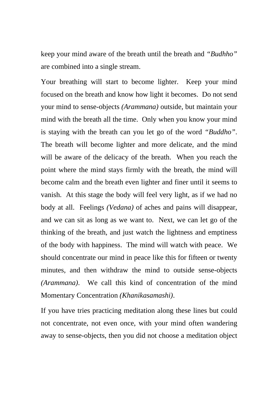keep your mind aware of the breath until the breath and *"Budhho"* are combined into a single stream.

Your breathing will start to become lighter. Keep your mind focused on the breath and know how light it becomes. Do not send your mind to sense-objects *(Arammana)* outside, but maintain your mind with the breath all the time. Only when you know your mind is staying with the breath can you let go of the word *"Buddho"*. The breath will become lighter and more delicate, and the mind will be aware of the delicacy of the breath. When you reach the point where the mind stays firmly with the breath, the mind will become calm and the breath even lighter and finer until it seems to vanish. At this stage the body will feel very light, as if we had no body at all. Feelings *(Vedana)* of aches and pains will disappear, and we can sit as long as we want to. Next, we can let go of the thinking of the breath, and just watch the lightness and emptiness of the body with happiness. The mind will watch with peace. We should concentrate our mind in peace like this for fifteen or twenty minutes, and then withdraw the mind to outside sense-objects *(Arammana)*. We call this kind of concentration of the mind Momentary Concentration *(Khanikasamashi)*.

If you have tries practicing meditation along these lines but could not concentrate, not even once, with your mind often wandering away to sense-objects, then you did not choose a meditation object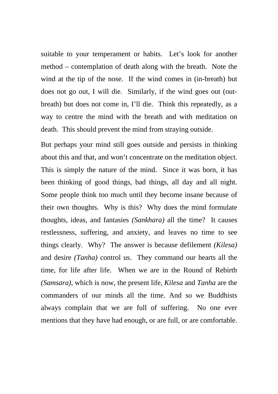suitable to your temperament or habits. Let's look for another method – contemplation of death along with the breath. Note the wind at the tip of the nose. If the wind comes in (in-breath) but does not go out, I will die. Similarly, if the wind goes out (outbreath) but does not come in, I'll die. Think this repeatedly, as a way to centre the mind with the breath and with meditation on death. This should prevent the mind from straying outside.

But perhaps your mind still goes outside and persists in thinking about this and that, and won't concentrate on the meditation object. This is simply the nature of the mind. Since it was born, it has been thinking of good things, bad things, all day and all night. Some people think too much until they become insane because of their own thoughts. Why is this? Why does the mind formulate thoughts, ideas, and fantasies *(Sankhara)* all the time? It causes restlessness, suffering, and anxiety, and leaves no time to see things clearly. Why? The answer is because defilement *(Kilesa)* and desire *(Tanha)* control us. They command our hearts all the time, for life after life. When we are in the Round of Rebirth *(Samsara)*, which is now, the present life, *Kilesa* and *Tanha* are the commanders of our minds all the time. And so we Buddhists always complain that we are full of suffering. No one ever mentions that they have had enough, or are full, or are comfortable.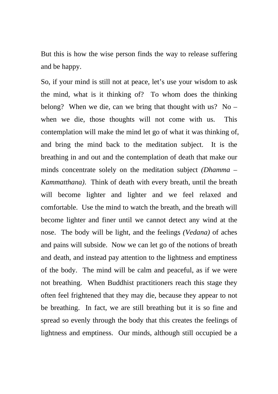But this is how the wise person finds the way to release suffering and be happy.

So, if your mind is still not at peace, let's use your wisdom to ask the mind, what is it thinking of? To whom does the thinking belong? When we die, can we bring that thought with us? No – when we die, those thoughts will not come with us. This contemplation will make the mind let go of what it was thinking of, and bring the mind back to the meditation subject. It is the breathing in and out and the contemplation of death that make our minds concentrate solely on the meditation subject *(Dhamma – Kammatthana)*. Think of death with every breath, until the breath will become lighter and lighter and we feel relaxed and comfortable. Use the mind to watch the breath, and the breath will become lighter and finer until we cannot detect any wind at the nose. The body will be light, and the feelings *(Vedana)* of aches and pains will subside. Now we can let go of the notions of breath and death, and instead pay attention to the lightness and emptiness of the body. The mind will be calm and peaceful, as if we were not breathing. When Buddhist practitioners reach this stage they often feel frightened that they may die, because they appear to not be breathing. In fact, we are still breathing but it is so fine and spread so evenly through the body that this creates the feelings of lightness and emptiness. Our minds, although still occupied be a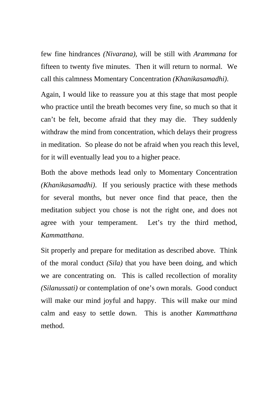few fine hindrances *(Nivarana)*, will be still with *Arammana* for fifteen to twenty five minutes. Then it will return to normal. We call this calmness Momentary Concentration *(Khanikasamadhi)*.

Again, I would like to reassure you at this stage that most people who practice until the breath becomes very fine, so much so that it can't be felt, become afraid that they may die. They suddenly withdraw the mind from concentration, which delays their progress in meditation. So please do not be afraid when you reach this level, for it will eventually lead you to a higher peace.

Both the above methods lead only to Momentary Concentration *(Khanikasamadhi)*. If you seriously practice with these methods for several months, but never once find that peace, then the meditation subject you chose is not the right one, and does not agree with your temperament. Let's try the third method, *Kammatthana*.

Sit properly and prepare for meditation as described above. Think of the moral conduct *(Sila)* that you have been doing, and which we are concentrating on. This is called recollection of morality *(Silanussati)* or contemplation of one's own morals. Good conduct will make our mind joyful and happy. This will make our mind calm and easy to settle down. This is another *Kammatthana* method.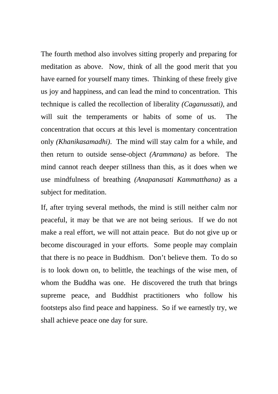The fourth method also involves sitting properly and preparing for meditation as above. Now, think of all the good merit that you have earned for yourself many times. Thinking of these freely give us joy and happiness, and can lead the mind to concentration. This technique is called the recollection of liberality *(Caganussati)*, and will suit the temperaments or habits of some of us. The concentration that occurs at this level is momentary concentration only *(Khanikasamadhi)*. The mind will stay calm for a while, and then return to outside sense-object *(Arammana)* as before. The mind cannot reach deeper stillness than this, as it does when we use mindfulness of breathing *(Anapanasati Kammatthana)* as a subject for meditation.

If, after trying several methods, the mind is still neither calm nor peaceful, it may be that we are not being serious. If we do not make a real effort, we will not attain peace. But do not give up or become discouraged in your efforts. Some people may complain that there is no peace in Buddhism. Don't believe them. To do so is to look down on, to belittle, the teachings of the wise men, of whom the Buddha was one. He discovered the truth that brings supreme peace, and Buddhist practitioners who follow his footsteps also find peace and happiness. So if we earnestly try, we shall achieve peace one day for sure.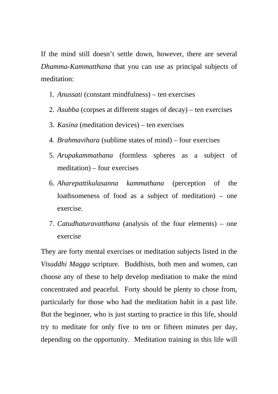If the mind still doesn't settle down, however, there are several *Dhamma-Kammatthana* that you can use as principal subjects of meditation:

- 1. *Anussati* (constant mindfulness) ten exercises
- 2. *Asubba* (corpses at different stages of decay) ten exercises
- 3. *Kasina* (meditation devices) ten exercises
- 4. *Brahmavihara* (sublime states of mind) four exercises
- 5. *Arupakammathana* (formless spheres as a subject of meditation) – four exercises
- 6. *Aharepattikulasanna kammathana* (perception of the loathsomeness of food as a subject of meditation) – one exercise.
- 7. *Catudhaturavatthana* (analysis of the four elements) one exercise

They are forty mental exercises or meditation subjects listed in the *Visuddhi Magga* scripture. Buddhists, both men and women, can choose any of these to help develop meditation to make the mind concentrated and peaceful. Forty should be plenty to chose from, particularly for those who had the meditation habit in a past life. But the beginner, who is just starting to practice in this life, should try to meditate for only five to ten or fifteen minutes per day, depending on the opportunity. Meditation training in this life will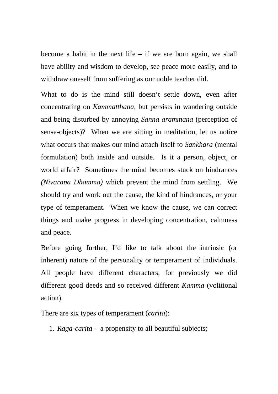become a habit in the next life  $-$  if we are born again, we shall have ability and wisdom to develop, see peace more easily, and to withdraw oneself from suffering as our noble teacher did.

What to do is the mind still doesn't settle down, even after concentrating on *Kammatthana*, but persists in wandering outside and being disturbed by annoying *Sanna arammana* (perception of sense-objects)? When we are sitting in meditation, let us notice what occurs that makes our mind attach itself to *Sankhara* (mental formulation) both inside and outside. Is it a person, object, or world affair? Sometimes the mind becomes stuck on hindrances *(Nivarana Dhamma)* which prevent the mind from settling. We should try and work out the cause, the kind of hindrances, or your type of temperament. When we know the cause, we can correct things and make progress in developing concentration, calmness and peace.

Before going further, I'd like to talk about the intrinsic (or inherent) nature of the personality or temperament of individuals. All people have different characters, for previously we did different good deeds and so received different *Kamma* (volitional action).

There are six types of temperament (*carita*):

1. *Raga-carita* - a propensity to all beautiful subjects;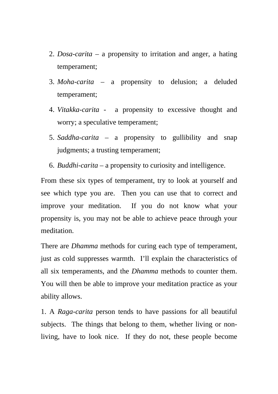- 2. *Dosa-carita* a propensity to irritation and anger, a hating temperament;
- 3. *Moha-carita* a propensity to delusion; a deluded temperament;
- 4. *Vitakka-carita* a propensity to excessive thought and worry; a speculative temperament;
- 5. *Saddha-carita* a propensity to gullibility and snap judgments; a trusting temperament;
- 6. *Buddhi-carita* a propensity to curiosity and intelligence.

From these six types of temperament, try to look at yourself and see which type you are. Then you can use that to correct and improve your meditation. If you do not know what your propensity is, you may not be able to achieve peace through your meditation.

There are *Dhamma* methods for curing each type of temperament, just as cold suppresses warmth. I'll explain the characteristics of all six temperaments, and the *Dhamma* methods to counter them. You will then be able to improve your meditation practice as your ability allows.

1. A *Raga-carita* person tends to have passions for all beautiful subjects. The things that belong to them, whether living or nonliving, have to look nice. If they do not, these people become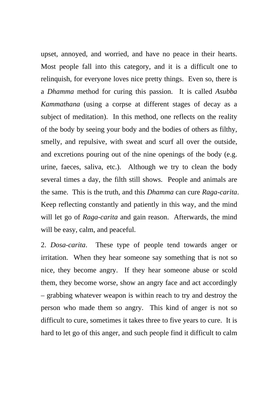upset, annoyed, and worried, and have no peace in their hearts. Most people fall into this category, and it is a difficult one to relinquish, for everyone loves nice pretty things. Even so, there is a *Dhamma* method for curing this passion. It is called *Asubba Kammathana* (using a corpse at different stages of decay as a subject of meditation). In this method, one reflects on the reality of the body by seeing your body and the bodies of others as filthy, smelly, and repulsive, with sweat and scurf all over the outside, and excretions pouring out of the nine openings of the body (e.g. urine, faeces, saliva, etc.). Although we try to clean the body several times a day, the filth still shows. People and animals are the same. This is the truth, and this *Dhamma* can cure *Raga-carita*. Keep reflecting constantly and patiently in this way, and the mind will let go of *Raga-carita* and gain reason. Afterwards, the mind will be easy, calm, and peaceful.

2. *Dosa-carita*. These type of people tend towards anger or irritation. When they hear someone say something that is not so nice, they become angry. If they hear someone abuse or scold them, they become worse, show an angry face and act accordingly – grabbing whatever weapon is within reach to try and destroy the person who made them so angry. This kind of anger is not so difficult to cure, sometimes it takes three to five years to cure. It is hard to let go of this anger, and such people find it difficult to calm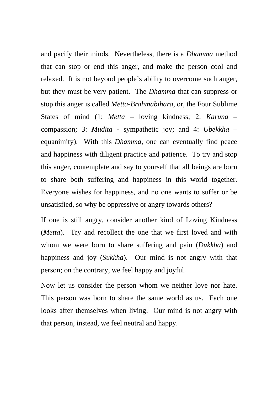and pacify their minds. Nevertheless, there is a *Dhamma* method that can stop or end this anger, and make the person cool and relaxed. It is not beyond people's ability to overcome such anger, but they must be very patient. The *Dhamma* that can suppress or stop this anger is called *Metta-Brahmabihara*, or, the Four Sublime States of mind (1: *Metta* – loving kindness; 2: *Karuna* – compassion; 3: *Mudita* - sympathetic joy; and 4: *Ubekkha* – equanimity). With this *Dhamma*, one can eventually find peace and happiness with diligent practice and patience. To try and stop this anger, contemplate and say to yourself that all beings are born to share both suffering and happiness in this world together. Everyone wishes for happiness, and no one wants to suffer or be unsatisfied, so why be oppressive or angry towards others?

If one is still angry, consider another kind of Loving Kindness (*Metta*). Try and recollect the one that we first loved and with whom we were born to share suffering and pain (*Dukkha*) and happiness and joy (*Sukkha*). Our mind is not angry with that person; on the contrary, we feel happy and joyful.

Now let us consider the person whom we neither love nor hate. This person was born to share the same world as us. Each one looks after themselves when living. Our mind is not angry with that person, instead, we feel neutral and happy.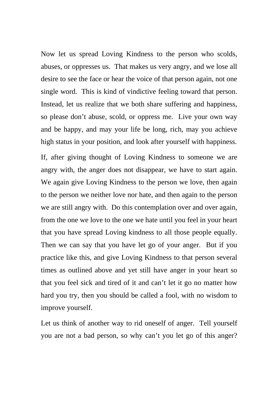Now let us spread Loving Kindness to the person who scolds, abuses, or oppresses us. That makes us very angry, and we lose all desire to see the face or hear the voice of that person again, not one single word. This is kind of vindictive feeling toward that person. Instead, let us realize that we both share suffering and happiness, so please don't abuse, scold, or oppress me. Live your own way and be happy, and may your life be long, rich, may you achieve high status in your position, and look after yourself with happiness.

If, after giving thought of Loving Kindness to someone we are angry with, the anger does not disappear, we have to start again. We again give Loving Kindness to the person we love, then again to the person we neither love nor hate, and then again to the person we are still angry with. Do this contemplation over and over again, from the one we love to the one we hate until you feel in your heart that you have spread Loving kindness to all those people equally. Then we can say that you have let go of your anger. But if you practice like this, and give Loving Kindness to that person several times as outlined above and yet still have anger in your heart so that you feel sick and tired of it and can't let it go no matter how hard you try, then you should be called a fool, with no wisdom to improve yourself.

Let us think of another way to rid oneself of anger. Tell yourself you are not a bad person, so why can't you let go of this anger?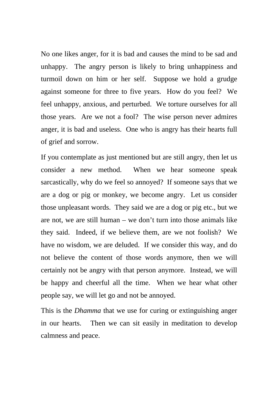No one likes anger, for it is bad and causes the mind to be sad and unhappy. The angry person is likely to bring unhappiness and turmoil down on him or her self. Suppose we hold a grudge against someone for three to five years. How do you feel? We feel unhappy, anxious, and perturbed. We torture ourselves for all those years. Are we not a fool? The wise person never admires anger, it is bad and useless. One who is angry has their hearts full of grief and sorrow.

If you contemplate as just mentioned but are still angry, then let us consider a new method. When we hear someone speak sarcastically, why do we feel so annoyed? If someone says that we are a dog or pig or monkey, we become angry. Let us consider those unpleasant words. They said we are a dog or pig etc., but we are not, we are still human – we don't turn into those animals like they said. Indeed, if we believe them, are we not foolish? We have no wisdom, we are deluded. If we consider this way, and do not believe the content of those words anymore, then we will certainly not be angry with that person anymore. Instead, we will be happy and cheerful all the time. When we hear what other people say, we will let go and not be annoyed.

This is the *Dhamma* that we use for curing or extinguishing anger in our hearts. Then we can sit easily in meditation to develop calmness and peace.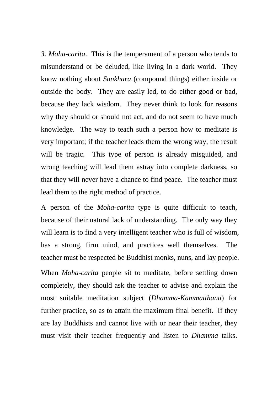*3. Moha-carita*. This is the temperament of a person who tends to misunderstand or be deluded, like living in a dark world. They know nothing about *Sankhara* (compound things) either inside or outside the body. They are easily led, to do either good or bad, because they lack wisdom. They never think to look for reasons why they should or should not act, and do not seem to have much knowledge. The way to teach such a person how to meditate is very important; if the teacher leads them the wrong way, the result will be tragic. This type of person is already misguided, and wrong teaching will lead them astray into complete darkness, so that they will never have a chance to find peace. The teacher must lead them to the right method of practice.

A person of the *Moha-carita* type is quite difficult to teach, because of their natural lack of understanding. The only way they will learn is to find a very intelligent teacher who is full of wisdom, has a strong, firm mind, and practices well themselves. The teacher must be respected be Buddhist monks, nuns, and lay people. When *Moha-carita* people sit to meditate, before settling down completely, they should ask the teacher to advise and explain the most suitable meditation subject (*Dhamma-Kammatthana*) for further practice, so as to attain the maximum final benefit. If they are lay Buddhists and cannot live with or near their teacher, they must visit their teacher frequently and listen to *Dhamma* talks.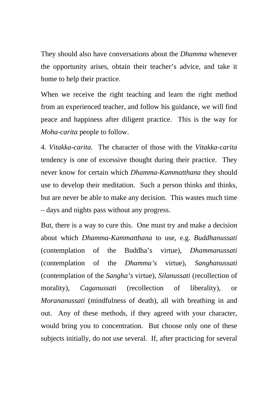They should also have conversations about the *Dhamma* whenever the opportunity arises, obtain their teacher's advice, and take it home to help their practice.

When we receive the right teaching and learn the right method from an experienced teacher, and follow his guidance, we will find peace and happiness after diligent practice. This is the way for *Moha-carita* people to follow.

4. *Vitakka-carita*. The character of those with the *Vitakka-carita* tendency is one of excessive thought during their practice. They never know for certain which *Dhamma-Kammatthana* they should use to develop their meditation. Such a person thinks and thinks, but are never be able to make any decision. This wastes much time – days and nights pass without any progress.

But, there is a way to cure this. One must try and make a decision about which *Dhamma-Kammatthana* to use, e.g. *Buddhanussati* (contemplation of the Buddha's virtue), *Dhammanussati* (contemplation of the *Dhamma's* virtue), *Sanghanussati* (contemplation of the *Sangha's* virtue), *Silanussati* (recollection of morality), *Caganussati* (recollection of liberality), or *Morananussati* (mindfulness of death), all with breathing in and out. Any of these methods, if they agreed with your character, would bring you to concentration. But choose only one of these subjects initially, do not use several. If, after practicing for several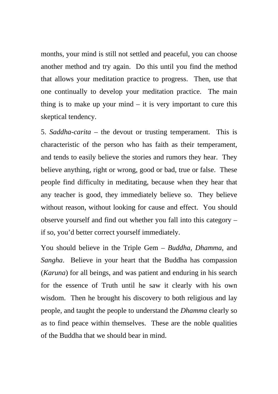months, your mind is still not settled and peaceful, you can choose another method and try again. Do this until you find the method that allows your meditation practice to progress. Then, use that one continually to develop your meditation practice. The main thing is to make up your mind  $-$  it is very important to cure this skeptical tendency.

5. *Saddha-carita* – the devout or trusting temperament. This is characteristic of the person who has faith as their temperament, and tends to easily believe the stories and rumors they hear. They believe anything, right or wrong, good or bad, true or false. These people find difficulty in meditating, because when they hear that any teacher is good, they immediately believe so. They believe without reason, without looking for cause and effect. You should observe yourself and find out whether you fall into this category – if so, you'd better correct yourself immediately.

You should believe in the Triple Gem – *Buddha, Dhamma*, and *Sangha*. Believe in your heart that the Buddha has compassion (*Karuna*) for all beings, and was patient and enduring in his search for the essence of Truth until he saw it clearly with his own wisdom. Then he brought his discovery to both religious and lay people, and taught the people to understand the *Dhamma* clearly so as to find peace within themselves. These are the noble qualities of the Buddha that we should bear in mind.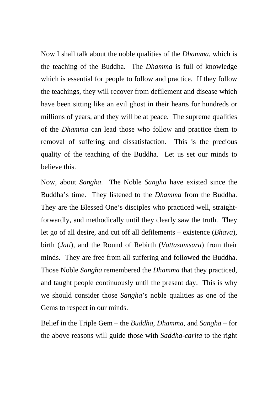Now I shall talk about the noble qualities of the *Dhamma*, which is the teaching of the Buddha. The *Dhamma* is full of knowledge which is essential for people to follow and practice. If they follow the teachings, they will recover from defilement and disease which have been sitting like an evil ghost in their hearts for hundreds or millions of years, and they will be at peace. The supreme qualities of the *Dhamma* can lead those who follow and practice them to removal of suffering and dissatisfaction. This is the precious quality of the teaching of the Buddha. Let us set our minds to believe this.

Now, about *Sangha*. The Noble *Sangha* have existed since the Buddha's time. They listened to the *Dhamma* from the Buddha. They are the Blessed One's disciples who practiced well, straightforwardly, and methodically until they clearly saw the truth. They let go of all desire, and cut off all defilements – existence (*Bhava*), birth (*Jati*), and the Round of Rebirth (*Vattasamsara*) from their minds. They are free from all suffering and followed the Buddha. Those Noble *Sangha* remembered the *Dhamma* that they practiced, and taught people continuously until the present day. This is why we should consider those *Sangha*'s noble qualities as one of the Gems to respect in our minds.

Belief in the Triple Gem – the *Buddha*, *Dhamma*, and *Sangha* – for the above reasons will guide those with *Saddha-carita* to the right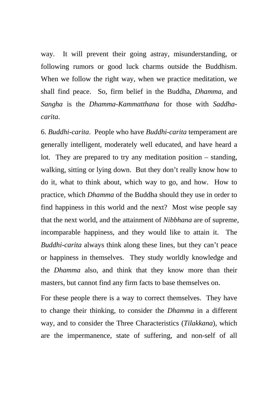way. It will prevent their going astray, misunderstanding, or following rumors or good luck charms outside the Buddhism. When we follow the right way, when we practice meditation, we shall find peace. So, firm belief in the Buddha, *Dhamma*, and *Sangha* is the *Dhamma-Kammatthana* for those with *Saddhacarita*.

6. *Buddhi-carita*. People who have *Buddhi-carita* temperament are generally intelligent, moderately well educated, and have heard a lot. They are prepared to try any meditation position – standing, walking, sitting or lying down. But they don't really know how to do it, what to think about, which way to go, and how. How to practice, which *Dhamma* of the Buddha should they use in order to find happiness in this world and the next? Most wise people say that the next world, and the attainment of *Nibbhana* are of supreme, incomparable happiness, and they would like to attain it. The *Buddhi-carita* always think along these lines, but they can't peace or happiness in themselves. They study worldly knowledge and the *Dhamma* also, and think that they know more than their masters, but cannot find any firm facts to base themselves on.

For these people there is a way to correct themselves. They have to change their thinking, to consider the *Dhamma* in a different way, and to consider the Three Characteristics (*Tilakkana*), which are the impermanence, state of suffering, and non-self of all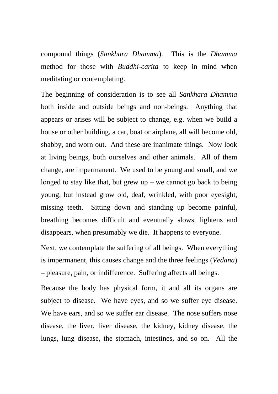compound things (*Sankhara Dhamma*). This is the *Dhamma* method for those with *Buddhi-carita* to keep in mind when meditating or contemplating.

The beginning of consideration is to see all *Sankhara Dhamma* both inside and outside beings and non-beings. Anything that appears or arises will be subject to change, e.g. when we build a house or other building, a car, boat or airplane, all will become old, shabby, and worn out. And these are inanimate things. Now look at living beings, both ourselves and other animals. All of them change, are impermanent. We used to be young and small, and we longed to stay like that, but grew  $up - we$  cannot go back to being young, but instead grow old, deaf, wrinkled, with poor eyesight, missing teeth. Sitting down and standing up become painful, breathing becomes difficult and eventually slows, lightens and disappears, when presumably we die. It happens to everyone.

Next, we contemplate the suffering of all beings. When everything is impermanent, this causes change and the three feelings (*Vedana*) – pleasure, pain, or indifference. Suffering affects all beings.

Because the body has physical form, it and all its organs are subject to disease. We have eyes, and so we suffer eye disease. We have ears, and so we suffer ear disease. The nose suffers nose disease, the liver, liver disease, the kidney, kidney disease, the lungs, lung disease, the stomach, intestines, and so on. All the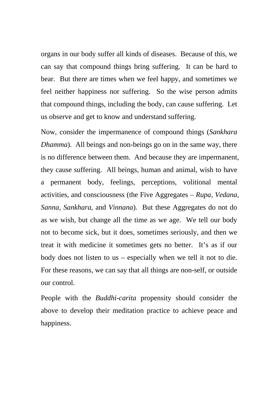organs in our body suffer all kinds of diseases. Because of this, we can say that compound things bring suffering. It can be hard to bear. But there are times when we feel happy, and sometimes we feel neither happiness nor suffering. So the wise person admits that compound things, including the body, can cause suffering. Let us observe and get to know and understand suffering.

Now, consider the impermanence of compound things (*Sankhara Dhamma*). All beings and non-beings go on in the same way, there is no difference between them. And because they are impermanent, they cause suffering. All beings, human and animal, wish to have a permanent body, feelings, perceptions, volitional mental activities, and consciousness (the Five Aggregates – *Rupa, Vedana, Sanna, Sankhara*, and *Vinnana*). But these Aggregates do not do as we wish, but change all the time as we age. We tell our body not to become sick, but it does, sometimes seriously, and then we treat it with medicine it sometimes gets no better. It's as if our body does not listen to us – especially when we tell it not to die. For these reasons, we can say that all things are non-self, or outside our control.

People with the *Buddhi-carita* propensity should consider the above to develop their meditation practice to achieve peace and happiness.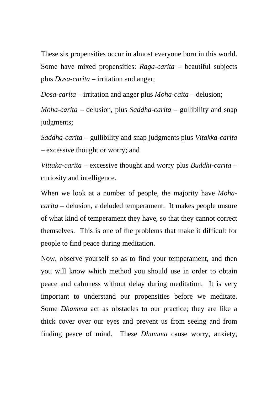These six propensities occur in almost everyone born in this world. Some have mixed propensities: *Raga-carita* – beautiful subjects plus *Dosa-carita* – irritation and anger;

*Dosa-carita* – irritation and anger plus *Moha-caita* – delusion;

*Moha-carita* – delusion, plus *Saddha-carita* – gullibility and snap judgments;

*Saddha-carita* – gullibility and snap judgments plus *Vitakka-carita* – excessive thought or worry; and

*Vittaka-carita* – excessive thought and worry plus *Buddhi-carita* – curiosity and intelligence.

When we look at a number of people, the majority have *Mohacarita* – delusion, a deluded temperament. It makes people unsure of what kind of temperament they have, so that they cannot correct themselves. This is one of the problems that make it difficult for people to find peace during meditation.

Now, observe yourself so as to find your temperament, and then you will know which method you should use in order to obtain peace and calmness without delay during meditation. It is very important to understand our propensities before we meditate. Some *Dhamma* act as obstacles to our practice; they are like a thick cover over our eyes and prevent us from seeing and from finding peace of mind. These *Dhamma* cause worry, anxiety,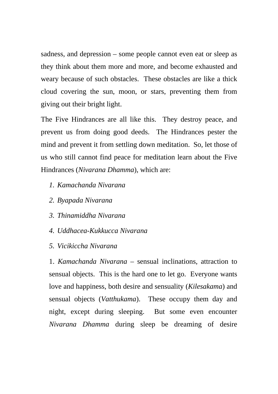sadness, and depression – some people cannot even eat or sleep as they think about them more and more, and become exhausted and weary because of such obstacles. These obstacles are like a thick cloud covering the sun, moon, or stars, preventing them from giving out their bright light.

The Five Hindrances are all like this. They destroy peace, and prevent us from doing good deeds. The Hindrances pester the mind and prevent it from settling down meditation. So, let those of us who still cannot find peace for meditation learn about the Five Hindrances (*Nivarana Dhamma*), which are:

- *1. Kamachanda Nivarana*
- *2. Byapada Nivarana*
- *3. Thinamiddha Nivarana*
- *4. Uddhacea-Kukkucca Nivarana*
- *5. Vicikiccha Nivarana*

1. *Kamachanda Nivarana* – sensual inclinations, attraction to sensual objects. This is the hard one to let go. Everyone wants love and happiness, both desire and sensuality (*Kilesakama*) and sensual objects (*Vatthukama*). These occupy them day and night, except during sleeping. But some even encounter *Nivarana Dhamma* during sleep be dreaming of desire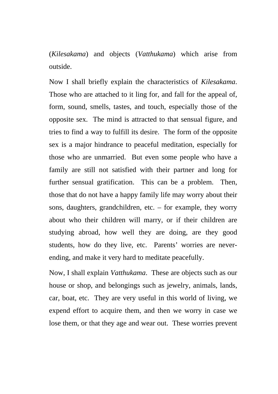(*Kilesakama*) and objects (*Vatthukama*) which arise from outside.

Now I shall briefly explain the characteristics of *Kilesakama*. Those who are attached to it ling for, and fall for the appeal of, form, sound, smells, tastes, and touch, especially those of the opposite sex. The mind is attracted to that sensual figure, and tries to find a way to fulfill its desire. The form of the opposite sex is a major hindrance to peaceful meditation, especially for those who are unmarried. But even some people who have a family are still not satisfied with their partner and long for further sensual gratification. This can be a problem. Then, those that do not have a happy family life may worry about their sons, daughters, grandchildren, etc. – for example, they worry about who their children will marry, or if their children are studying abroad, how well they are doing, are they good students, how do they live, etc. Parents' worries are neverending, and make it very hard to meditate peacefully.

Now, I shall explain *Vatthukama*. These are objects such as our house or shop, and belongings such as jewelry, animals, lands, car, boat, etc. They are very useful in this world of living, we expend effort to acquire them, and then we worry in case we lose them, or that they age and wear out. These worries prevent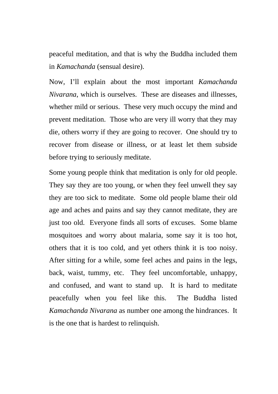peaceful meditation, and that is why the Buddha included them in *Kamachanda* (sensual desire).

Now, I'll explain about the most important *Kamachanda Nivarana*, which is ourselves. These are diseases and illnesses, whether mild or serious. These very much occupy the mind and prevent meditation. Those who are very ill worry that they may die, others worry if they are going to recover. One should try to recover from disease or illness, or at least let them subside before trying to seriously meditate.

Some young people think that meditation is only for old people. They say they are too young, or when they feel unwell they say they are too sick to meditate. Some old people blame their old age and aches and pains and say they cannot meditate, they are just too old. Everyone finds all sorts of excuses. Some blame mosquitoes and worry about malaria, some say it is too hot, others that it is too cold, and yet others think it is too noisy. After sitting for a while, some feel aches and pains in the legs, back, waist, tummy, etc. They feel uncomfortable, unhappy, and confused, and want to stand up. It is hard to meditate peacefully when you feel like this. The Buddha listed *Kamachanda Nivarana* as number one among the hindrances. It is the one that is hardest to relinquish.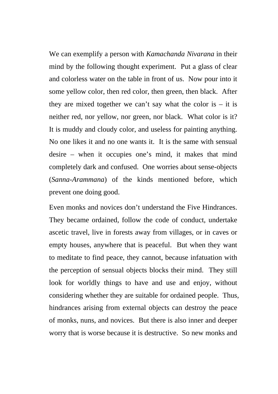We can exemplify a person with *Kamachanda Nivarana* in their mind by the following thought experiment. Put a glass of clear and colorless water on the table in front of us. Now pour into it some yellow color, then red color, then green, then black. After they are mixed together we can't say what the color is  $-$  it is neither red, nor yellow, nor green, nor black. What color is it? It is muddy and cloudy color, and useless for painting anything. No one likes it and no one wants it. It is the same with sensual desire – when it occupies one's mind, it makes that mind completely dark and confused. One worries about sense-objects (*Sanna-Arammana*) of the kinds mentioned before, which prevent one doing good.

Even monks and novices don't understand the Five Hindrances. They became ordained, follow the code of conduct, undertake ascetic travel, live in forests away from villages, or in caves or empty houses, anywhere that is peaceful. But when they want to meditate to find peace, they cannot, because infatuation with the perception of sensual objects blocks their mind. They still look for worldly things to have and use and enjoy, without considering whether they are suitable for ordained people. Thus, hindrances arising from external objects can destroy the peace of monks, nuns, and novices. But there is also inner and deeper worry that is worse because it is destructive. So new monks and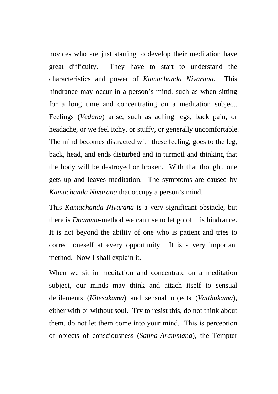novices who are just starting to develop their meditation have great difficulty. They have to start to understand the characteristics and power of *Kamachanda Nivarana*. This hindrance may occur in a person's mind, such as when sitting for a long time and concentrating on a meditation subject. Feelings (*Vedana*) arise, such as aching legs, back pain, or headache, or we feel itchy, or stuffy, or generally uncomfortable. The mind becomes distracted with these feeling, goes to the leg, back, head, and ends disturbed and in turmoil and thinking that the body will be destroyed or broken. With that thought, one gets up and leaves meditation. The symptoms are caused by *Kamachanda Nivarana* that occupy a person's mind.

This *Kamachanda Nivarana* is a very significant obstacle, but there is *Dhamma*-method we can use to let go of this hindrance. It is not beyond the ability of one who is patient and tries to correct oneself at every opportunity. It is a very important method. Now I shall explain it.

When we sit in meditation and concentrate on a meditation subject, our minds may think and attach itself to sensual defilements (*Kilesakama*) and sensual objects (*Vatthukama*), either with or without soul. Try to resist this, do not think about them, do not let them come into your mind. This is perception of objects of consciousness (*Sanna-Arammana*), the Tempter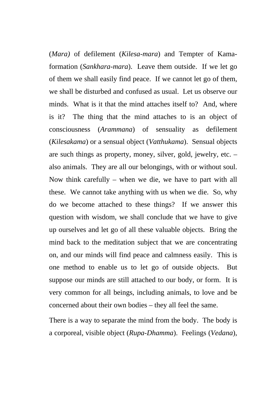(*Mara)* of defilement (*Kilesa-mara*) and Tempter of Kamaformation (*Sankhara-mara*). Leave them outside. If we let go of them we shall easily find peace. If we cannot let go of them, we shall be disturbed and confused as usual. Let us observe our minds. What is it that the mind attaches itself to? And, where is it? The thing that the mind attaches to is an object of consciousness (*Arammana*) of sensuality as defilement (*Kilesakama*) or a sensual object (*Vatthukama*). Sensual objects are such things as property, money, silver, gold, jewelry, etc. – also animals. They are all our belongings, with or without soul. Now think carefully – when we die, we have to part with all these. We cannot take anything with us when we die. So, why do we become attached to these things? If we answer this question with wisdom, we shall conclude that we have to give up ourselves and let go of all these valuable objects. Bring the mind back to the meditation subject that we are concentrating on, and our minds will find peace and calmness easily. This is one method to enable us to let go of outside objects. But suppose our minds are still attached to our body, or form. It is very common for all beings, including animals, to love and be concerned about their own bodies – they all feel the same.

There is a way to separate the mind from the body. The body is a corporeal, visible object (*Rupa-Dhamma*). Feelings (*Vedana*),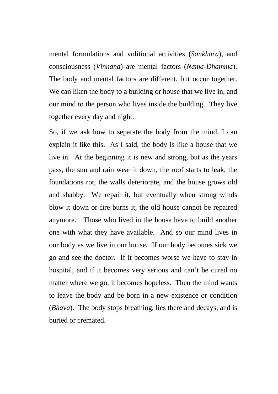mental formulations and volitional activities (*Sankhara*), and consciousness (*Vinnana*) are mental factors (*Nama-Dhamma*). The body and mental factors are different, but occur together. We can liken the body to a building or house that we live in, and our mind to the person who lives inside the building. They live together every day and night.

So, if we ask how to separate the body from the mind, I can explain it like this. As I said, the body is like a house that we live in. At the beginning it is new and strong, but as the years pass, the sun and rain wear it down, the roof starts to leak, the foundations rot, the walls deteriorate, and the house grows old and shabby. We repair it, but eventually when strong winds blow it down or fire burns it, the old house cannot be repaired anymore. Those who lived in the house have to build another one with what they have available. And so our mind lives in our body as we live in our house. If our body becomes sick we go and see the doctor. If it becomes worse we have to stay in hospital, and if it becomes very serious and can't be cured no matter where we go, it becomes hopeless. Then the mind wants to leave the body and be born in a new existence or condition (*Bhava*). The body stops breathing, lies there and decays, and is buried or cremated.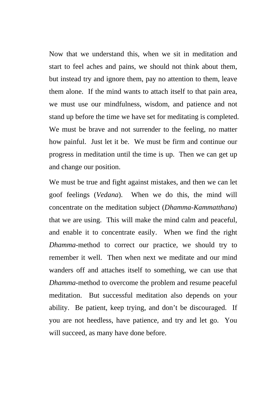Now that we understand this, when we sit in meditation and start to feel aches and pains, we should not think about them, but instead try and ignore them, pay no attention to them, leave them alone. If the mind wants to attach itself to that pain area, we must use our mindfulness, wisdom, and patience and not stand up before the time we have set for meditating is completed. We must be brave and not surrender to the feeling, no matter how painful. Just let it be. We must be firm and continue our progress in meditation until the time is up. Then we can get up and change our position.

We must be true and fight against mistakes, and then we can let goof feelings (*Vedana*). When we do this, the mind will concentrate on the meditation subject (*Dhamma-Kammatthana*) that we are using. This will make the mind calm and peaceful, and enable it to concentrate easily. When we find the right *Dhamma*-method to correct our practice, we should try to remember it well. Then when next we meditate and our mind wanders off and attaches itself to something, we can use that *Dhamma*-method to overcome the problem and resume peaceful meditation. But successful meditation also depends on your ability. Be patient, keep trying, and don't be discouraged. If you are not heedless, have patience, and try and let go. You will succeed, as many have done before.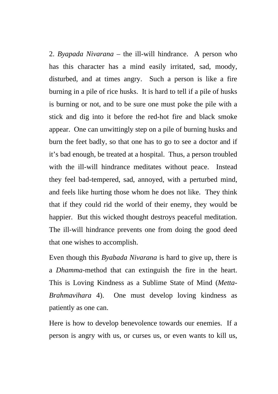2. *Byapada Nivarana* – the ill-will hindrance. A person who has this character has a mind easily irritated, sad, moody, disturbed, and at times angry. Such a person is like a fire burning in a pile of rice husks. It is hard to tell if a pile of husks is burning or not, and to be sure one must poke the pile with a stick and dig into it before the red-hot fire and black smoke appear. One can unwittingly step on a pile of burning husks and burn the feet badly, so that one has to go to see a doctor and if it's bad enough, be treated at a hospital. Thus, a person troubled with the ill-will hindrance meditates without peace. Instead they feel bad-tempered, sad, annoyed, with a perturbed mind, and feels like hurting those whom he does not like. They think that if they could rid the world of their enemy, they would be happier. But this wicked thought destroys peaceful meditation. The ill-will hindrance prevents one from doing the good deed that one wishes to accomplish.

Even though this *Byabada Nivarana* is hard to give up, there is a *Dhamma*-method that can extinguish the fire in the heart. This is Loving Kindness as a Sublime State of Mind (*Metta-Brahmavihara* 4). One must develop loving kindness as patiently as one can.

Here is how to develop benevolence towards our enemies. If a person is angry with us, or curses us, or even wants to kill us,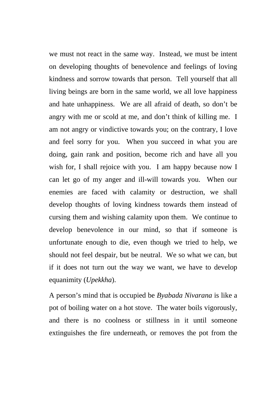we must not react in the same way. Instead, we must be intent on developing thoughts of benevolence and feelings of loving kindness and sorrow towards that person. Tell yourself that all living beings are born in the same world, we all love happiness and hate unhappiness. We are all afraid of death, so don't be angry with me or scold at me, and don't think of killing me. I am not angry or vindictive towards you; on the contrary, I love and feel sorry for you. When you succeed in what you are doing, gain rank and position, become rich and have all you wish for, I shall rejoice with you. I am happy because now I can let go of my anger and ill-will towards you. When our enemies are faced with calamity or destruction, we shall develop thoughts of loving kindness towards them instead of cursing them and wishing calamity upon them. We continue to develop benevolence in our mind, so that if someone is unfortunate enough to die, even though we tried to help, we should not feel despair, but be neutral. We so what we can, but if it does not turn out the way we want, we have to develop equanimity (*Upekkha*).

A person's mind that is occupied be *Byabada Nivarana* is like a pot of boiling water on a hot stove. The water boils vigorously, and there is no coolness or stillness in it until someone extinguishes the fire underneath, or removes the pot from the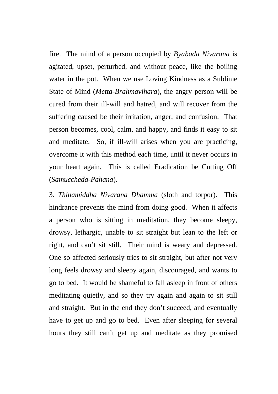fire. The mind of a person occupied by *Byabada Nivarana* is agitated, upset, perturbed, and without peace, like the boiling water in the pot. When we use Loving Kindness as a Sublime State of Mind (*Metta-Brahmavihara*), the angry person will be cured from their ill-will and hatred, and will recover from the suffering caused be their irritation, anger, and confusion. That person becomes, cool, calm, and happy, and finds it easy to sit and meditate. So, if ill-will arises when you are practicing, overcome it with this method each time, until it never occurs in your heart again. This is called Eradication be Cutting Off (*Samuccheda-Pahana*).

3. *Thinamiddha Nivarana Dhamma* (sloth and torpor). This hindrance prevents the mind from doing good. When it affects a person who is sitting in meditation, they become sleepy, drowsy, lethargic, unable to sit straight but lean to the left or right, and can't sit still. Their mind is weary and depressed. One so affected seriously tries to sit straight, but after not very long feels drowsy and sleepy again, discouraged, and wants to go to bed. It would be shameful to fall asleep in front of others meditating quietly, and so they try again and again to sit still and straight. But in the end they don't succeed, and eventually have to get up and go to bed. Even after sleeping for several hours they still can't get up and meditate as they promised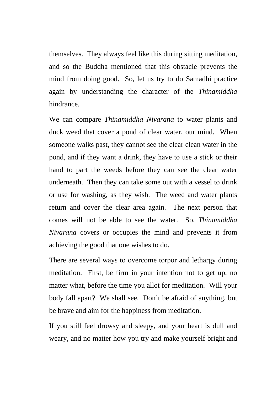themselves. They always feel like this during sitting meditation, and so the Buddha mentioned that this obstacle prevents the mind from doing good. So, let us try to do Samadhi practice again by understanding the character of the *Thinamiddha* hindrance.

We can compare *Thinamiddha Nivarana* to water plants and duck weed that cover a pond of clear water, our mind. When someone walks past, they cannot see the clear clean water in the pond, and if they want a drink, they have to use a stick or their hand to part the weeds before they can see the clear water underneath. Then they can take some out with a vessel to drink or use for washing, as they wish. The weed and water plants return and cover the clear area again. The next person that comes will not be able to see the water. So, *Thinamiddha Nivarana* covers or occupies the mind and prevents it from achieving the good that one wishes to do.

There are several ways to overcome torpor and lethargy during meditation. First, be firm in your intention not to get up, no matter what, before the time you allot for meditation. Will your body fall apart? We shall see. Don't be afraid of anything, but be brave and aim for the happiness from meditation.

If you still feel drowsy and sleepy, and your heart is dull and weary, and no matter how you try and make yourself bright and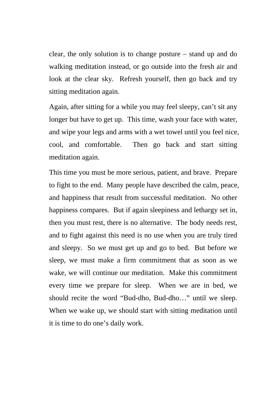clear, the only solution is to change posture – stand up and do walking meditation instead, or go outside into the fresh air and look at the clear sky. Refresh yourself, then go back and try sitting meditation again.

Again, after sitting for a while you may feel sleepy, can't sit any longer but have to get up. This time, wash your face with water, and wipe your legs and arms with a wet towel until you feel nice, cool, and comfortable. Then go back and start sitting meditation again.

This time you must be more serious, patient, and brave. Prepare to fight to the end. Many people have described the calm, peace, and happiness that result from successful meditation. No other happiness compares. But if again sleepiness and lethargy set in, then you must rest, there is no alternative. The body needs rest, and to fight against this need is no use when you are truly tired and sleepy. So we must get up and go to bed. But before we sleep, we must make a firm commitment that as soon as we wake, we will continue our meditation. Make this commitment every time we prepare for sleep. When we are in bed, we should recite the word "Bud-dho, Bud-dho…" until we sleep. When we wake up, we should start with sitting meditation until it is time to do one's daily work.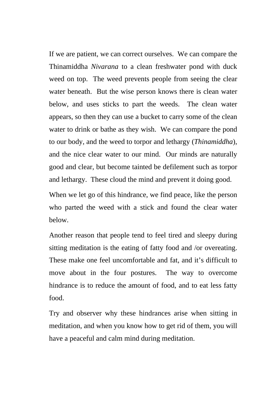If we are patient, we can correct ourselves. We can compare the Thinamiddha *Nivarana* to a clean freshwater pond with duck weed on top. The weed prevents people from seeing the clear water beneath. But the wise person knows there is clean water below, and uses sticks to part the weeds. The clean water appears, so then they can use a bucket to carry some of the clean water to drink or bathe as they wish. We can compare the pond to our body, and the weed to torpor and lethargy (*Thinamiddha*), and the nice clear water to our mind. Our minds are naturally good and clear, but become tainted be defilement such as torpor and lethargy. These cloud the mind and prevent it doing good.

When we let go of this hindrance, we find peace, like the person who parted the weed with a stick and found the clear water below.

Another reason that people tend to feel tired and sleepy during sitting meditation is the eating of fatty food and /or overeating. These make one feel uncomfortable and fat, and it's difficult to move about in the four postures. The way to overcome hindrance is to reduce the amount of food, and to eat less fatty food.

Try and observer why these hindrances arise when sitting in meditation, and when you know how to get rid of them, you will have a peaceful and calm mind during meditation.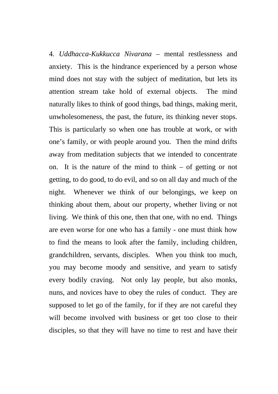4. *Uddhacca-Kukkucca Nivarana* – mental restlessness and anxiety. This is the hindrance experienced by a person whose mind does not stay with the subject of meditation, but lets its attention stream take hold of external objects. The mind naturally likes to think of good things, bad things, making merit, unwholesomeness, the past, the future, its thinking never stops. This is particularly so when one has trouble at work, or with one's family, or with people around you. Then the mind drifts away from meditation subjects that we intended to concentrate on. It is the nature of the mind to think – of getting or not getting, to do good, to do evil, and so on all day and much of the night. Whenever we think of our belongings, we keep on thinking about them, about our property, whether living or not living. We think of this one, then that one, with no end. Things are even worse for one who has a family - one must think how to find the means to look after the family, including children, grandchildren, servants, disciples. When you think too much, you may become moody and sensitive, and yearn to satisfy every bodily craving. Not only lay people, but also monks, nuns, and novices have to obey the rules of conduct. They are supposed to let go of the family, for if they are not careful they will become involved with business or get too close to their disciples, so that they will have no time to rest and have their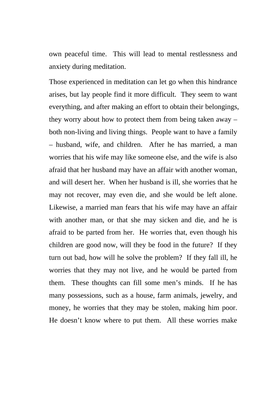own peaceful time. This will lead to mental restlessness and anxiety during meditation.

Those experienced in meditation can let go when this hindrance arises, but lay people find it more difficult. They seem to want everything, and after making an effort to obtain their belongings, they worry about how to protect them from being taken away – both non-living and living things. People want to have a family – husband, wife, and children. After he has married, a man worries that his wife may like someone else, and the wife is also afraid that her husband may have an affair with another woman, and will desert her. When her husband is ill, she worries that he may not recover, may even die, and she would be left alone. Likewise, a married man fears that his wife may have an affair with another man, or that she may sicken and die, and he is afraid to be parted from her. He worries that, even though his children are good now, will they be food in the future? If they turn out bad, how will he solve the problem? If they fall ill, he worries that they may not live, and he would be parted from them. These thoughts can fill some men's minds. If he has many possessions, such as a house, farm animals, jewelry, and money, he worries that they may be stolen, making him poor. He doesn't know where to put them. All these worries make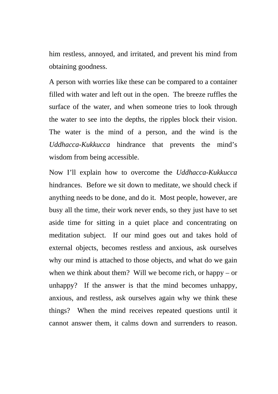him restless, annoyed, and irritated, and prevent his mind from obtaining goodness.

A person with worries like these can be compared to a container filled with water and left out in the open. The breeze ruffles the surface of the water, and when someone tries to look through the water to see into the depths, the ripples block their vision. The water is the mind of a person, and the wind is the *Uddhacca-Kukkucca* hindrance that prevents the mind's wisdom from being accessible.

Now I'll explain how to overcome the *Uddhacca-Kukkucca* hindrances. Before we sit down to meditate, we should check if anything needs to be done, and do it. Most people, however, are busy all the time, their work never ends, so they just have to set aside time for sitting in a quiet place and concentrating on meditation subject. If our mind goes out and takes hold of external objects, becomes restless and anxious, ask ourselves why our mind is attached to those objects, and what do we gain when we think about them? Will we become rich, or happy – or unhappy? If the answer is that the mind becomes unhappy, anxious, and restless, ask ourselves again why we think these things? When the mind receives repeated questions until it cannot answer them, it calms down and surrenders to reason.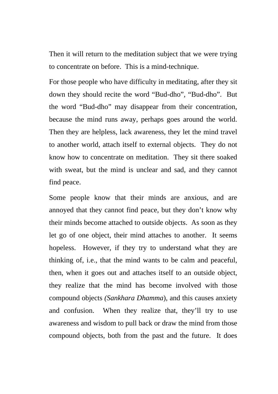Then it will return to the meditation subject that we were trying to concentrate on before. This is a mind-technique.

For those people who have difficulty in meditating, after they sit down they should recite the word "Bud-dho", "Bud-dho". But the word "Bud-dho" may disappear from their concentration, because the mind runs away, perhaps goes around the world. Then they are helpless, lack awareness, they let the mind travel to another world, attach itself to external objects. They do not know how to concentrate on meditation. They sit there soaked with sweat, but the mind is unclear and sad, and they cannot find peace.

Some people know that their minds are anxious, and are annoyed that they cannot find peace, but they don't know why their minds become attached to outside objects. As soon as they let go of one object, their mind attaches to another. It seems hopeless. However, if they try to understand what they are thinking of, i.e., that the mind wants to be calm and peaceful, then, when it goes out and attaches itself to an outside object, they realize that the mind has become involved with those compound objects *(Sankhara Dhamma*), and this causes anxiety and confusion. When they realize that, they'll try to use awareness and wisdom to pull back or draw the mind from those compound objects, both from the past and the future. It does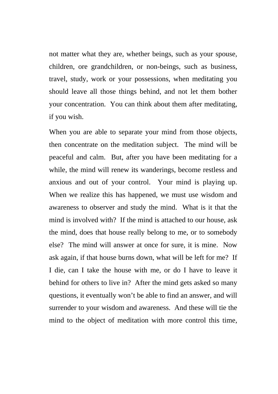not matter what they are, whether beings, such as your spouse, children, ore grandchildren, or non-beings, such as business, travel, study, work or your possessions, when meditating you should leave all those things behind, and not let them bother your concentration. You can think about them after meditating, if you wish.

When you are able to separate your mind from those objects, then concentrate on the meditation subject. The mind will be peaceful and calm. But, after you have been meditating for a while, the mind will renew its wanderings, become restless and anxious and out of your control. Your mind is playing up. When we realize this has happened, we must use wisdom and awareness to observer and study the mind. What is it that the mind is involved with? If the mind is attached to our house, ask the mind, does that house really belong to me, or to somebody else? The mind will answer at once for sure, it is mine. Now ask again, if that house burns down, what will be left for me? If I die, can I take the house with me, or do I have to leave it behind for others to live in? After the mind gets asked so many questions, it eventually won't be able to find an answer, and will surrender to your wisdom and awareness. And these will tie the mind to the object of meditation with more control this time,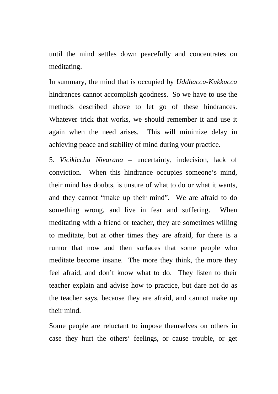until the mind settles down peacefully and concentrates on meditating.

In summary, the mind that is occupied by *Uddhacca-Kukkucca* hindrances cannot accomplish goodness. So we have to use the methods described above to let go of these hindrances. Whatever trick that works, we should remember it and use it again when the need arises. This will minimize delay in achieving peace and stability of mind during your practice.

5. *Vicikiccha Nivarana* – uncertainty, indecision, lack of conviction. When this hindrance occupies someone's mind, their mind has doubts, is unsure of what to do or what it wants, and they cannot "make up their mind". We are afraid to do something wrong, and live in fear and suffering. When meditating with a friend or teacher, they are sometimes willing to meditate, but at other times they are afraid, for there is a rumor that now and then surfaces that some people who meditate become insane. The more they think, the more they feel afraid, and don't know what to do. They listen to their teacher explain and advise how to practice, but dare not do as the teacher says, because they are afraid, and cannot make up their mind.

Some people are reluctant to impose themselves on others in case they hurt the others' feelings, or cause trouble, or get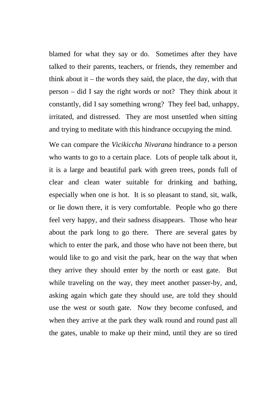blamed for what they say or do. Sometimes after they have talked to their parents, teachers, or friends, they remember and think about it – the words they said, the place, the day, with that person – did I say the right words or not? They think about it constantly, did I say something wrong? They feel bad, unhappy, irritated, and distressed. They are most unsettled when sitting and trying to meditate with this hindrance occupying the mind.

We can compare the *Vicikiccha Nivarana* hindrance to a person who wants to go to a certain place. Lots of people talk about it, it is a large and beautiful park with green trees, ponds full of clear and clean water suitable for drinking and bathing, especially when one is hot. It is so pleasant to stand, sit, walk, or lie down there, it is very comfortable. People who go there feel very happy, and their sadness disappears. Those who hear about the park long to go there. There are several gates by which to enter the park, and those who have not been there, but would like to go and visit the park, hear on the way that when they arrive they should enter by the north or east gate. But while traveling on the way, they meet another passer-by, and, asking again which gate they should use, are told they should use the west or south gate. Now they become confused, and when they arrive at the park they walk round and round past all the gates, unable to make up their mind, until they are so tired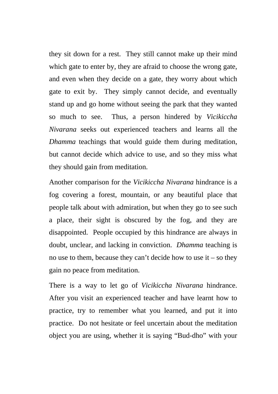they sit down for a rest. They still cannot make up their mind which gate to enter by, they are afraid to choose the wrong gate, and even when they decide on a gate, they worry about which gate to exit by. They simply cannot decide, and eventually stand up and go home without seeing the park that they wanted so much to see. Thus, a person hindered by *Vicikiccha Nivarana* seeks out experienced teachers and learns all the *Dhamma* teachings that would guide them during meditation, but cannot decide which advice to use, and so they miss what they should gain from meditation.

Another comparison for the *Vicikiccha Nivarana* hindrance is a fog covering a forest, mountain, or any beautiful place that people talk about with admiration, but when they go to see such a place, their sight is obscured by the fog, and they are disappointed. People occupied by this hindrance are always in doubt, unclear, and lacking in conviction. *Dhamma* teaching is no use to them, because they can't decide how to use  $it$  – so they gain no peace from meditation.

There is a way to let go of *Vicikiccha Nivarana* hindrance. After you visit an experienced teacher and have learnt how to practice, try to remember what you learned, and put it into practice. Do not hesitate or feel uncertain about the meditation object you are using, whether it is saying "Bud-dho" with your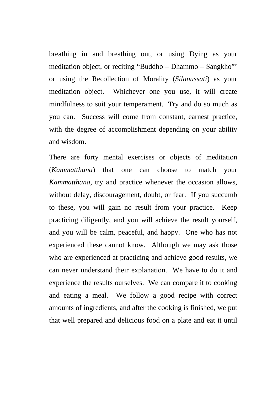breathing in and breathing out, or using Dying as your meditation object, or reciting "Buddho – Dhammo – Sangkho"' or using the Recollection of Morality (*Silanussati*) as your meditation object. Whichever one you use, it will create mindfulness to suit your temperament. Try and do so much as you can. Success will come from constant, earnest practice, with the degree of accomplishment depending on your ability and wisdom.

There are forty mental exercises or objects of meditation (*Kammatthana*) that one can choose to match your *Kammatthana*, try and practice whenever the occasion allows, without delay, discouragement, doubt, or fear. If you succumb to these, you will gain no result from your practice. Keep practicing diligently, and you will achieve the result yourself, and you will be calm, peaceful, and happy. One who has not experienced these cannot know. Although we may ask those who are experienced at practicing and achieve good results, we can never understand their explanation. We have to do it and experience the results ourselves. We can compare it to cooking and eating a meal. We follow a good recipe with correct amounts of ingredients, and after the cooking is finished, we put that well prepared and delicious food on a plate and eat it until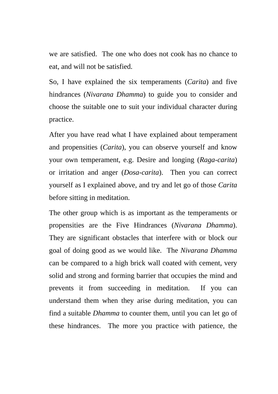we are satisfied. The one who does not cook has no chance to eat, and will not be satisfied.

So, I have explained the six temperaments (*Carita*) and five hindrances (*Nivarana Dhamma*) to guide you to consider and choose the suitable one to suit your individual character during practice.

After you have read what I have explained about temperament and propensities (*Carita*), you can observe yourself and know your own temperament, e.g. Desire and longing (*Raga-carita*) or irritation and anger (*Dosa-carita*). Then you can correct yourself as I explained above, and try and let go of those *Carita* before sitting in meditation.

The other group which is as important as the temperaments or propensities are the Five Hindrances (*Nivarana Dhamma*). They are significant obstacles that interfere with or block our goal of doing good as we would like. The *Nivarana Dhamma* can be compared to a high brick wall coated with cement, very solid and strong and forming barrier that occupies the mind and prevents it from succeeding in meditation. If you can understand them when they arise during meditation, you can find a suitable *Dhamma* to counter them, until you can let go of these hindrances. The more you practice with patience, the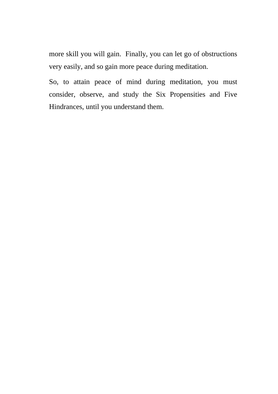more skill you will gain. Finally, you can let go of obstructions very easily, and so gain more peace during meditation.

So, to attain peace of mind during meditation, you must consider, observe, and study the Six Propensities and Five Hindrances, until you understand them.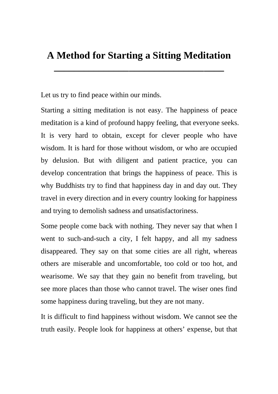## **A Method for Starting a Sitting Meditation**

**\_\_\_\_\_\_\_\_\_\_\_\_\_\_\_\_\_\_\_\_\_\_\_\_\_\_\_\_\_\_\_\_\_\_** 

Let us try to find peace within our minds.

Starting a sitting meditation is not easy. The happiness of peace meditation is a kind of profound happy feeling, that everyone seeks. It is very hard to obtain, except for clever people who have wisdom. It is hard for those without wisdom, or who are occupied by delusion. But with diligent and patient practice, you can develop concentration that brings the happiness of peace. This is why Buddhists try to find that happiness day in and day out. They travel in every direction and in every country looking for happiness and trying to demolish sadness and unsatisfactoriness.

Some people come back with nothing. They never say that when I went to such-and-such a city, I felt happy, and all my sadness disappeared. They say on that some cities are all right, whereas others are miserable and uncomfortable, too cold or too hot, and wearisome. We say that they gain no benefit from traveling, but see more places than those who cannot travel. The wiser ones find some happiness during traveling, but they are not many.

It is difficult to find happiness without wisdom. We cannot see the truth easily. People look for happiness at others' expense, but that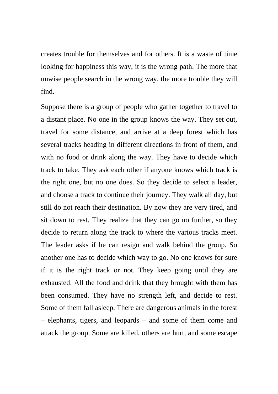creates trouble for themselves and for others. It is a waste of time looking for happiness this way, it is the wrong path. The more that unwise people search in the wrong way, the more trouble they will find.

Suppose there is a group of people who gather together to travel to a distant place. No one in the group knows the way. They set out, travel for some distance, and arrive at a deep forest which has several tracks heading in different directions in front of them, and with no food or drink along the way. They have to decide which track to take. They ask each other if anyone knows which track is the right one, but no one does. So they decide to select a leader, and choose a track to continue their journey. They walk all day, but still do not reach their destination. By now they are very tired, and sit down to rest. They realize that they can go no further, so they decide to return along the track to where the various tracks meet. The leader asks if he can resign and walk behind the group. So another one has to decide which way to go. No one knows for sure if it is the right track or not. They keep going until they are exhausted. All the food and drink that they brought with them has been consumed. They have no strength left, and decide to rest. Some of them fall asleep. There are dangerous animals in the forest – elephants, tigers, and leopards – and some of them come and attack the group. Some are killed, others are hurt, and some escape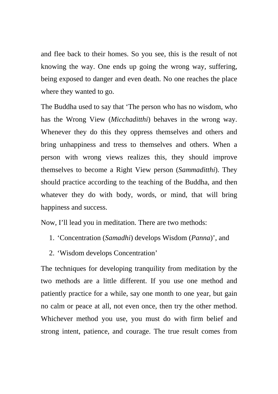and flee back to their homes. So you see, this is the result of not knowing the way. One ends up going the wrong way, suffering, being exposed to danger and even death. No one reaches the place where they wanted to go.

The Buddha used to say that 'The person who has no wisdom, who has the Wrong View (*Micchaditthi*) behaves in the wrong way. Whenever they do this they oppress themselves and others and bring unhappiness and tress to themselves and others. When a person with wrong views realizes this, they should improve themselves to become a Right View person (*Sammaditthi*). They should practice according to the teaching of the Buddha, and then whatever they do with body, words, or mind, that will bring happiness and success.

Now, I'll lead you in meditation. There are two methods:

- 1. 'Concentration (*Samadhi*) develops Wisdom (*Panna*)', and
- 2. 'Wisdom develops Concentration'

The techniques for developing tranquility from meditation by the two methods are a little different. If you use one method and patiently practice for a while, say one month to one year, but gain no calm or peace at all, not even once, then try the other method. Whichever method you use, you must do with firm belief and strong intent, patience, and courage. The true result comes from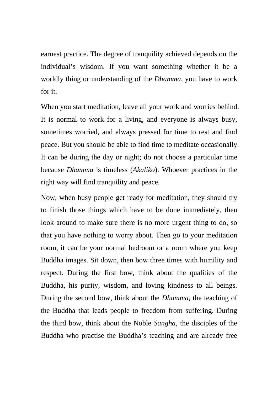earnest practice. The degree of tranquility achieved depends on the individual's wisdom. If you want something whether it be a worldly thing or understanding of the *Dhamma*, you have to work for it.

When you start meditation, leave all your work and worries behind. It is normal to work for a living, and everyone is always busy, sometimes worried, and always pressed for time to rest and find peace. But you should be able to find time to meditate occasionally. It can be during the day or night; do not choose a particular time because *Dhamma* is timeless (*Akaliko*). Whoever practices in the right way will find tranquility and peace.

Now, when busy people get ready for meditation, they should try to finish those things which have to be done immediately, then look around to make sure there is no more urgent thing to do, so that you have nothing to worry about. Then go to your meditation room, it can be your normal bedroom or a room where you keep Buddha images. Sit down, then bow three times with humility and respect. During the first bow, think about the qualities of the Buddha, his purity, wisdom, and loving kindness to all beings. During the second bow, think about the *Dhamma*, the teaching of the Buddha that leads people to freedom from suffering. During the third bow, think about the Noble *Sangha*, the disciples of the Buddha who practise the Buddha's teaching and are already free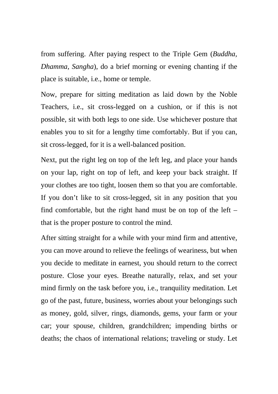from suffering. After paying respect to the Triple Gem (*Buddha, Dhamma, Sangha*), do a brief morning or evening chanting if the place is suitable, i.e., home or temple.

Now, prepare for sitting meditation as laid down by the Noble Teachers, i.e., sit cross-legged on a cushion, or if this is not possible, sit with both legs to one side. Use whichever posture that enables you to sit for a lengthy time comfortably. But if you can, sit cross-legged, for it is a well-balanced position.

Next, put the right leg on top of the left leg, and place your hands on your lap, right on top of left, and keep your back straight. If your clothes are too tight, loosen them so that you are comfortable. If you don't like to sit cross-legged, sit in any position that you find comfortable, but the right hand must be on top of the left – that is the proper posture to control the mind.

After sitting straight for a while with your mind firm and attentive, you can move around to relieve the feelings of weariness, but when you decide to meditate in earnest, you should return to the correct posture. Close your eyes. Breathe naturally, relax, and set your mind firmly on the task before you, i.e., tranquility meditation. Let go of the past, future, business, worries about your belongings such as money, gold, silver, rings, diamonds, gems, your farm or your car; your spouse, children, grandchildren; impending births or deaths; the chaos of international relations; traveling or study. Let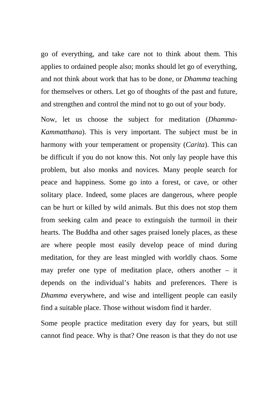go of everything, and take care not to think about them. This applies to ordained people also; monks should let go of everything, and not think about work that has to be done, or *Dhamma* teaching for themselves or others. Let go of thoughts of the past and future, and strengthen and control the mind not to go out of your body.

Now, let us choose the subject for meditation (*Dhamma-Kammatthana*). This is very important. The subject must be in harmony with your temperament or propensity (*Carita*). This can be difficult if you do not know this. Not only lay people have this problem, but also monks and novices. Many people search for peace and happiness. Some go into a forest, or cave, or other solitary place. Indeed, some places are dangerous, where people can be hurt or killed by wild animals. But this does not stop them from seeking calm and peace to extinguish the turmoil in their hearts. The Buddha and other sages praised lonely places, as these are where people most easily develop peace of mind during meditation, for they are least mingled with worldly chaos. Some may prefer one type of meditation place, others another – it depends on the individual's habits and preferences. There is *Dhamma* everywhere, and wise and intelligent people can easily find a suitable place. Those without wisdom find it harder.

Some people practice meditation every day for years, but still cannot find peace. Why is that? One reason is that they do not use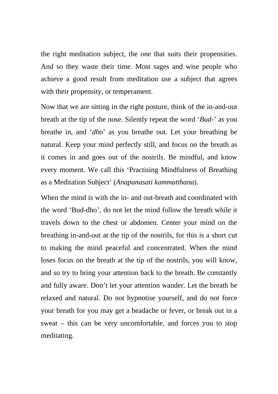the right meditation subject, the one that suits their propensities. And so they waste their time. Most sages and wise people who achieve a good result from meditation use a subject that agrees with their propensity, or temperament.

Now that we are sitting in the right posture, think of the in-and-out breath at the tip of the nose. Silently repeat the word '*Bud-*' as you breathe in, and '*dho*' as you breathe out. Let your breathing be natural. Keep your mind perfectly still, and focus on the breath as it comes in and goes out of the nostrils. Be mindful, and know every moment. We call this 'Practising Mindfulness of Breathing as a Meditation Subject' (*Anapanasati kammatthana*).

When the mind is with the in- and out-breath and coordinated with the word 'Bud-dho', do not let the mind follow the breath while it travels down to the chest or abdomen. Center your mind on the breathing in-and-out at the tip of the nostrils, for this is a short cut to making the mind peaceful and concentrated. When the mind loses focus on the breath at the tip of the nostrils, you will know, and so try to bring your attention back to the breath. Be constantly and fully aware. Don't let your attention wander. Let the breath be relaxed and natural. Do not hypnotise yourself, and do not force your breath for you may get a headache or fever, or break out in a sweat – this can be very uncomfortable, and forces you to stop meditating.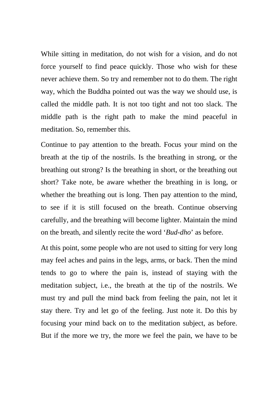While sitting in meditation, do not wish for a vision, and do not force yourself to find peace quickly. Those who wish for these never achieve them. So try and remember not to do them. The right way, which the Buddha pointed out was the way we should use, is called the middle path. It is not too tight and not too slack. The middle path is the right path to make the mind peaceful in meditation. So, remember this.

Continue to pay attention to the breath. Focus your mind on the breath at the tip of the nostrils. Is the breathing in strong, or the breathing out strong? Is the breathing in short, or the breathing out short? Take note, be aware whether the breathing in is long, or whether the breathing out is long. Then pay attention to the mind, to see if it is still focused on the breath. Continue observing carefully, and the breathing will become lighter. Maintain the mind on the breath, and silently recite the word '*Bud-dho*' as before.

At this point, some people who are not used to sitting for very long may feel aches and pains in the legs, arms, or back. Then the mind tends to go to where the pain is, instead of staying with the meditation subject, i.e., the breath at the tip of the nostrils. We must try and pull the mind back from feeling the pain, not let it stay there. Try and let go of the feeling. Just note it. Do this by focusing your mind back on to the meditation subject, as before. But if the more we try, the more we feel the pain, we have to be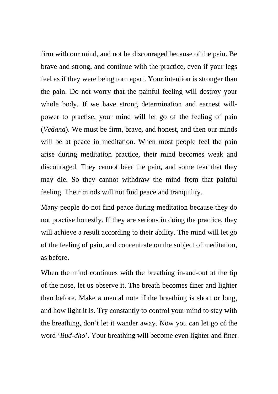firm with our mind, and not be discouraged because of the pain. Be brave and strong, and continue with the practice, even if your legs feel as if they were being torn apart. Your intention is stronger than the pain. Do not worry that the painful feeling will destroy your whole body. If we have strong determination and earnest willpower to practise, your mind will let go of the feeling of pain (*Vedana*). We must be firm, brave, and honest, and then our minds will be at peace in meditation. When most people feel the pain arise during meditation practice, their mind becomes weak and discouraged. They cannot bear the pain, and some fear that they may die. So they cannot withdraw the mind from that painful feeling. Their minds will not find peace and tranquility.

Many people do not find peace during meditation because they do not practise honestly. If they are serious in doing the practice, they will achieve a result according to their ability. The mind will let go of the feeling of pain, and concentrate on the subject of meditation, as before.

When the mind continues with the breathing in-and-out at the tip of the nose, let us observe it. The breath becomes finer and lighter than before. Make a mental note if the breathing is short or long, and how light it is. Try constantly to control your mind to stay with the breathing, don't let it wander away. Now you can let go of the word '*Bud-dho*'. Your breathing will become even lighter and finer.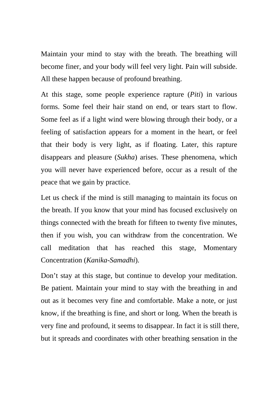Maintain your mind to stay with the breath. The breathing will become finer, and your body will feel very light. Pain will subside. All these happen because of profound breathing.

At this stage, some people experience rapture (*Piti*) in various forms. Some feel their hair stand on end, or tears start to flow. Some feel as if a light wind were blowing through their body, or a feeling of satisfaction appears for a moment in the heart, or feel that their body is very light, as if floating. Later, this rapture disappears and pleasure (*Sukha*) arises. These phenomena, which you will never have experienced before, occur as a result of the peace that we gain by practice.

Let us check if the mind is still managing to maintain its focus on the breath. If you know that your mind has focused exclusively on things connected with the breath for fifteen to twenty five minutes, then if you wish, you can withdraw from the concentration. We call meditation that has reached this stage, Momentary Concentration (*Kanika-Samadhi*).

Don't stay at this stage, but continue to develop your meditation. Be patient. Maintain your mind to stay with the breathing in and out as it becomes very fine and comfortable. Make a note, or just know, if the breathing is fine, and short or long. When the breath is very fine and profound, it seems to disappear. In fact it is still there, but it spreads and coordinates with other breathing sensation in the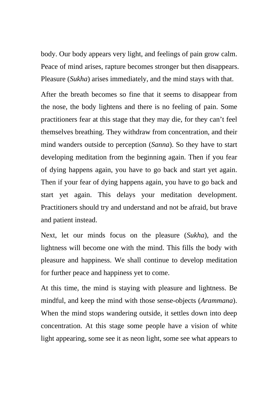body. Our body appears very light, and feelings of pain grow calm. Peace of mind arises, rapture becomes stronger but then disappears. Pleasure (*Sukha*) arises immediately, and the mind stays with that.

After the breath becomes so fine that it seems to disappear from the nose, the body lightens and there is no feeling of pain. Some practitioners fear at this stage that they may die, for they can't feel themselves breathing. They withdraw from concentration, and their mind wanders outside to perception (*Sanna*). So they have to start developing meditation from the beginning again. Then if you fear of dying happens again, you have to go back and start yet again. Then if your fear of dying happens again, you have to go back and start yet again. This delays your meditation development. Practitioners should try and understand and not be afraid, but brave and patient instead.

Next, let our minds focus on the pleasure (*Sukha*), and the lightness will become one with the mind. This fills the body with pleasure and happiness. We shall continue to develop meditation for further peace and happiness yet to come.

At this time, the mind is staying with pleasure and lightness. Be mindful, and keep the mind with those sense-objects (*Arammana*). When the mind stops wandering outside, it settles down into deep concentration. At this stage some people have a vision of white light appearing, some see it as neon light, some see what appears to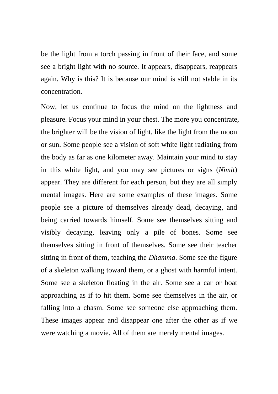be the light from a torch passing in front of their face, and some see a bright light with no source. It appears, disappears, reappears again. Why is this? It is because our mind is still not stable in its concentration.

Now, let us continue to focus the mind on the lightness and pleasure. Focus your mind in your chest. The more you concentrate, the brighter will be the vision of light, like the light from the moon or sun. Some people see a vision of soft white light radiating from the body as far as one kilometer away. Maintain your mind to stay in this white light, and you may see pictures or signs (*Nimit*) appear. They are different for each person, but they are all simply mental images. Here are some examples of these images. Some people see a picture of themselves already dead, decaying, and being carried towards himself. Some see themselves sitting and visibly decaying, leaving only a pile of bones. Some see themselves sitting in front of themselves. Some see their teacher sitting in front of them, teaching the *Dhamma*. Some see the figure of a skeleton walking toward them, or a ghost with harmful intent. Some see a skeleton floating in the air. Some see a car or boat approaching as if to hit them. Some see themselves in the air, or falling into a chasm. Some see someone else approaching them. These images appear and disappear one after the other as if we were watching a movie. All of them are merely mental images.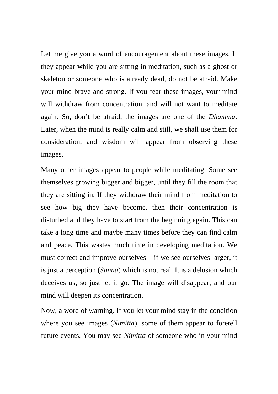Let me give you a word of encouragement about these images. If they appear while you are sitting in meditation, such as a ghost or skeleton or someone who is already dead, do not be afraid. Make your mind brave and strong. If you fear these images, your mind will withdraw from concentration, and will not want to meditate again. So, don't be afraid, the images are one of the *Dhamma*. Later, when the mind is really calm and still, we shall use them for consideration, and wisdom will appear from observing these images.

Many other images appear to people while meditating. Some see themselves growing bigger and bigger, until they fill the room that they are sitting in. If they withdraw their mind from meditation to see how big they have become, then their concentration is disturbed and they have to start from the beginning again. This can take a long time and maybe many times before they can find calm and peace. This wastes much time in developing meditation. We must correct and improve ourselves – if we see ourselves larger, it is just a perception (*Sanna*) which is not real. It is a delusion which deceives us, so just let it go. The image will disappear, and our mind will deepen its concentration.

Now, a word of warning. If you let your mind stay in the condition where you see images (*Nimitta*), some of them appear to foretell future events. You may see *Nimitta* of someone who in your mind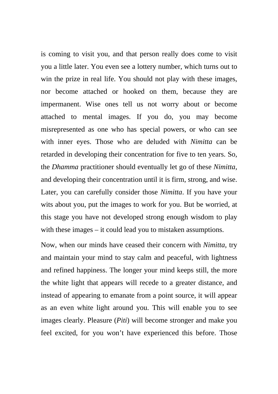is coming to visit you, and that person really does come to visit you a little later. You even see a lottery number, which turns out to win the prize in real life. You should not play with these images, nor become attached or hooked on them, because they are impermanent. Wise ones tell us not worry about or become attached to mental images. If you do, you may become misrepresented as one who has special powers, or who can see with inner eyes. Those who are deluded with *Nimitta* can be retarded in developing their concentration for five to ten years. So, the *Dhamma* practitioner should eventually let go of these *Nimitta*, and developing their concentration until it is firm, strong, and wise. Later, you can carefully consider those *Nimitta*. If you have your wits about you, put the images to work for you. But be worried, at this stage you have not developed strong enough wisdom to play with these images – it could lead you to mistaken assumptions.

Now, when our minds have ceased their concern with *Nimitta*, try and maintain your mind to stay calm and peaceful, with lightness and refined happiness. The longer your mind keeps still, the more the white light that appears will recede to a greater distance, and instead of appearing to emanate from a point source, it will appear as an even white light around you. This will enable you to see images clearly. Pleasure (*Piti*) will become stronger and make you feel excited, for you won't have experienced this before. Those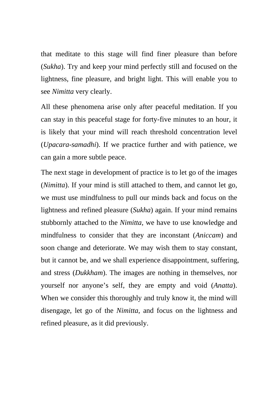that meditate to this stage will find finer pleasure than before (*Sukha*). Try and keep your mind perfectly still and focused on the lightness, fine pleasure, and bright light. This will enable you to see *Nimitta* very clearly.

All these phenomena arise only after peaceful meditation. If you can stay in this peaceful stage for forty-five minutes to an hour, it is likely that your mind will reach threshold concentration level (*Upacara-samadhi*). If we practice further and with patience, we can gain a more subtle peace.

The next stage in development of practice is to let go of the images (*Nimitta*). If your mind is still attached to them, and cannot let go, we must use mindfulness to pull our minds back and focus on the lightness and refined pleasure (*Sukha*) again. If your mind remains stubbornly attached to the *Nimitta*, we have to use knowledge and mindfulness to consider that they are inconstant (*Aniccam*) and soon change and deteriorate. We may wish them to stay constant, but it cannot be, and we shall experience disappointment, suffering, and stress (*Dukkham*). The images are nothing in themselves, nor yourself nor anyone's self, they are empty and void (*Anatta*). When we consider this thoroughly and truly know it, the mind will disengage, let go of the *Nimitta*, and focus on the lightness and refined pleasure, as it did previously.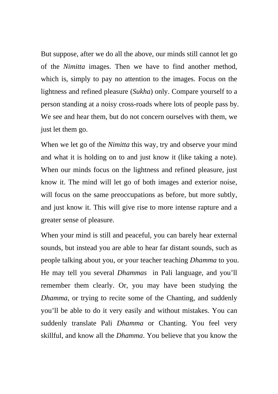But suppose, after we do all the above, our minds still cannot let go of the *Nimitta* images. Then we have to find another method, which is, simply to pay no attention to the images. Focus on the lightness and refined pleasure (*Sukha*) only. Compare yourself to a person standing at a noisy cross-roads where lots of people pass by. We see and hear them, but do not concern ourselves with them, we just let them go.

When we let go of the *Nimitta* this way, try and observe your mind and what it is holding on to and just know it (like taking a note). When our minds focus on the lightness and refined pleasure, just know it. The mind will let go of both images and exterior noise, will focus on the same preoccupations as before, but more subtly, and just know it. This will give rise to more intense rapture and a greater sense of pleasure.

When your mind is still and peaceful, you can barely hear external sounds, but instead you are able to hear far distant sounds, such as people talking about you, or your teacher teaching *Dhamma* to you. He may tell you several *Dhammas* in Pali language, and you'll remember them clearly. Or, you may have been studying the *Dhamma*, or trying to recite some of the Chanting, and suddenly you'll be able to do it very easily and without mistakes. You can suddenly translate Pali *Dhamma* or Chanting. You feel very skillful, and know all the *Dhamma*. You believe that you know the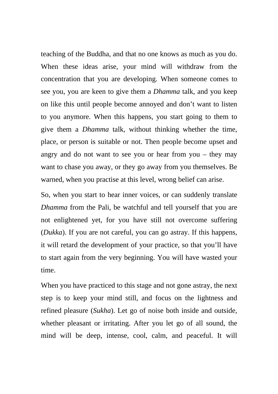teaching of the Buddha, and that no one knows as much as you do. When these ideas arise, your mind will withdraw from the concentration that you are developing. When someone comes to see you, you are keen to give them a *Dhamma* talk, and you keep on like this until people become annoyed and don't want to listen to you anymore. When this happens, you start going to them to give them a *Dhamma* talk, without thinking whether the time, place, or person is suitable or not. Then people become upset and angry and do not want to see you or hear from you – they may want to chase you away, or they go away from you themselves. Be warned, when you practise at this level, wrong belief can arise.

So, when you start to hear inner voices, or can suddenly translate *Dhamma* from the Pali, be watchful and tell yourself that you are not enlightened yet, for you have still not overcome suffering (*Dukka*). If you are not careful, you can go astray. If this happens, it will retard the development of your practice, so that you'll have to start again from the very beginning. You will have wasted your time.

When you have practiced to this stage and not gone astray, the next step is to keep your mind still, and focus on the lightness and refined pleasure (*Sukha*). Let go of noise both inside and outside, whether pleasant or irritating. After you let go of all sound, the mind will be deep, intense, cool, calm, and peaceful. It will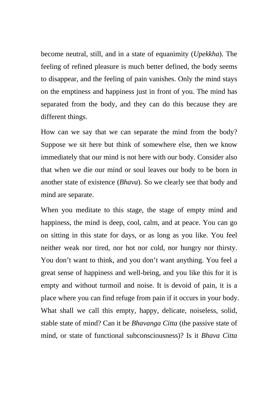become neutral, still, and in a state of equanimity (*Upekkha*). The feeling of refined pleasure is much better defined, the body seems to disappear, and the feeling of pain vanishes. Only the mind stays on the emptiness and happiness just in front of you. The mind has separated from the body, and they can do this because they are different things.

How can we say that we can separate the mind from the body? Suppose we sit here but think of somewhere else, then we know immediately that our mind is not here with our body. Consider also that when we die our mind or soul leaves our body to be born in another state of existence (*Bhava*). So we clearly see that body and mind are separate.

When you meditate to this stage, the stage of empty mind and happiness, the mind is deep, cool, calm, and at peace. You can go on sitting in this state for days, or as long as you like. You feel neither weak nor tired, nor hot nor cold, nor hungry nor thirsty. You don't want to think, and you don't want anything. You feel a great sense of happiness and well-being, and you like this for it is empty and without turmoil and noise. It is devoid of pain, it is a place where you can find refuge from pain if it occurs in your body. What shall we call this empty, happy, delicate, noiseless, solid, stable state of mind? Can it be *Bhavanga Citta* (the passive state of mind, or state of functional subconsciousness)? Is it *Bhava Citta*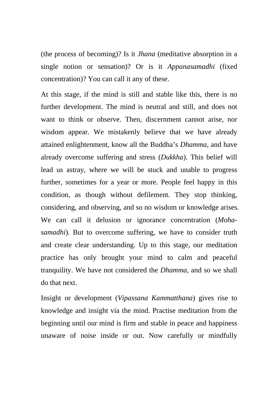(the process of becoming)? Is it *Jhana* (meditative absorption in a single notion or sensation)? Or is it *Appanasamadhi* (fixed concentration)? You can call it any of these.

At this stage, if the mind is still and stable like this, there is no further development. The mind is neutral and still, and does not want to think or observe. Then, discernment cannot arise, nor wisdom appear. We mistakenly believe that we have already attained enlightenment, know all the Buddha's *Dhamma*, and have already overcome suffering and stress (*Dukkha*). This belief will lead us astray, where we will be stuck and unable to progress further, sometimes for a year or more. People feel happy in this condition, as though without defilement. They stop thinking, considering, and observing, and so no wisdom or knowledge arises. We can call it delusion or ignorance concentration (*Mohasamadhi*). But to overcome suffering, we have to consider truth and create clear understanding. Up to this stage, our meditation practice has only brought your mind to calm and peaceful tranquility. We have not considered the *Dhamma*, and so we shall do that next.

Insight or development (*Vipassana Kammatthana*) gives rise to knowledge and insight via the mind. Practise meditation from the beginning until our mind is firm and stable in peace and happiness unaware of noise inside or out. Now carefully or mindfully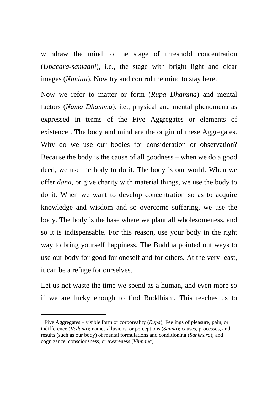withdraw the mind to the stage of threshold concentration (*Upacara-samadhi*), i.e., the stage with bright light and clear images (*Nimitta*). Now try and control the mind to stay here.

Now we refer to matter or form (*Rupa Dhamma*) and mental factors (*Nama Dhamma*), i.e., physical and mental phenomena as expressed in terms of the Five Aggregates or elements of existence<sup>1</sup>. The body and mind are the origin of these Aggregates. Why do we use our bodies for consideration or observation? Because the body is the cause of all goodness – when we do a good deed, we use the body to do it. The body is our world. When we offer *dana*, or give charity with material things, we use the body to do it. When we want to develop concentration so as to acquire knowledge and wisdom and so overcome suffering, we use the body. The body is the base where we plant all wholesomeness, and so it is indispensable. For this reason, use your body in the right way to bring yourself happiness. The Buddha pointed out ways to use our body for good for oneself and for others. At the very least, it can be a refuge for ourselves.

Let us not waste the time we spend as a human, and even more so if we are lucky enough to find Buddhism. This teaches us to

<sup>1</sup> Five Aggregates – visible form or corporeality (*Rupa*); Feelings of pleasure, pain, or indifference (*Vedana*); names allusions, or perceptions (*Sanna*); causes, processes, and results (such as our body) of mental formulations and conditioning (*Sankhara*); and cognizance, consciousness, or awareness (*Vinnana*).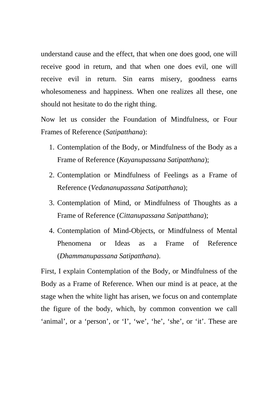understand cause and the effect, that when one does good, one will receive good in return, and that when one does evil, one will receive evil in return. Sin earns misery, goodness earns wholesomeness and happiness. When one realizes all these, one should not hesitate to do the right thing.

Now let us consider the Foundation of Mindfulness, or Four Frames of Reference (*Satipatthana*):

- 1. Contemplation of the Body, or Mindfulness of the Body as a Frame of Reference (*Kayanupassana Satipatthana*);
- 2. Contemplation or Mindfulness of Feelings as a Frame of Reference (*Vedananupassana Satipatthana*);
- 3. Contemplation of Mind, or Mindfulness of Thoughts as a Frame of Reference (*Cittanupassana Satipatthana*);
- 4. Contemplation of Mind-Objects, or Mindfulness of Mental Phenomena or Ideas as a Frame of Reference (*Dhammanupassana Satipatthana*).

First, I explain Contemplation of the Body, or Mindfulness of the Body as a Frame of Reference. When our mind is at peace, at the stage when the white light has arisen, we focus on and contemplate the figure of the body, which, by common convention we call 'animal', or a 'person', or 'I', 'we', 'he', 'she', or 'it'. These are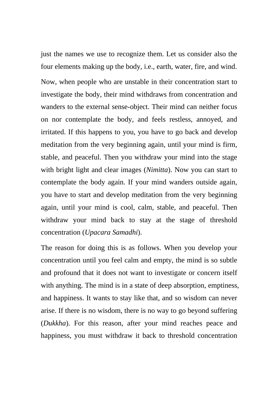just the names we use to recognize them. Let us consider also the four elements making up the body, i.e., earth, water, fire, and wind. Now, when people who are unstable in their concentration start to investigate the body, their mind withdraws from concentration and wanders to the external sense-object. Their mind can neither focus on nor contemplate the body, and feels restless, annoyed, and irritated. If this happens to you, you have to go back and develop meditation from the very beginning again, until your mind is firm, stable, and peaceful. Then you withdraw your mind into the stage with bright light and clear images (*Nimitta*). Now you can start to contemplate the body again. If your mind wanders outside again, you have to start and develop meditation from the very beginning again, until your mind is cool, calm, stable, and peaceful. Then withdraw your mind back to stay at the stage of threshold concentration (*Upacara Samadhi*).

The reason for doing this is as follows. When you develop your concentration until you feel calm and empty, the mind is so subtle and profound that it does not want to investigate or concern itself with anything. The mind is in a state of deep absorption, emptiness, and happiness. It wants to stay like that, and so wisdom can never arise. If there is no wisdom, there is no way to go beyond suffering (*Dukkha*). For this reason, after your mind reaches peace and happiness, you must withdraw it back to threshold concentration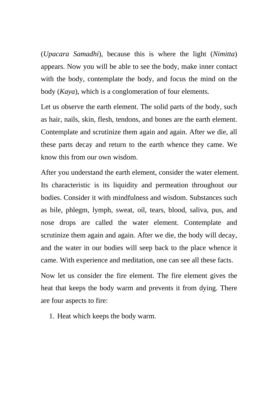(*Upacara Samadhi*), because this is where the light (*Nimitta*) appears. Now you will be able to see the body, make inner contact with the body, contemplate the body, and focus the mind on the body (*Kaya*), which is a conglomeration of four elements.

Let us observe the earth element. The solid parts of the body, such as hair, nails, skin, flesh, tendons, and bones are the earth element. Contemplate and scrutinize them again and again. After we die, all these parts decay and return to the earth whence they came. We know this from our own wisdom.

After you understand the earth element, consider the water element. Its characteristic is its liquidity and permeation throughout our bodies. Consider it with mindfulness and wisdom. Substances such as bile, phlegm, lymph, sweat, oil, tears, blood, saliva, pus, and nose drops are called the water element. Contemplate and scrutinize them again and again. After we die, the body will decay, and the water in our bodies will seep back to the place whence it came. With experience and meditation, one can see all these facts.

Now let us consider the fire element. The fire element gives the heat that keeps the body warm and prevents it from dying. There are four aspects to fire:

1. Heat which keeps the body warm.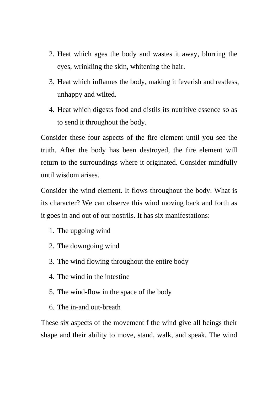- 2. Heat which ages the body and wastes it away, blurring the eyes, wrinkling the skin, whitening the hair.
- 3. Heat which inflames the body, making it feverish and restless, unhappy and wilted.
- 4. Heat which digests food and distils its nutritive essence so as to send it throughout the body.

Consider these four aspects of the fire element until you see the truth. After the body has been destroyed, the fire element will return to the surroundings where it originated. Consider mindfully until wisdom arises.

Consider the wind element. It flows throughout the body. What is its character? We can observe this wind moving back and forth as it goes in and out of our nostrils. It has six manifestations:

- 1. The upgoing wind
- 2. The downgoing wind
- 3. The wind flowing throughout the entire body
- 4. The wind in the intestine
- 5. The wind-flow in the space of the body
- 6. The in-and out-breath

These six aspects of the movement f the wind give all beings their shape and their ability to move, stand, walk, and speak. The wind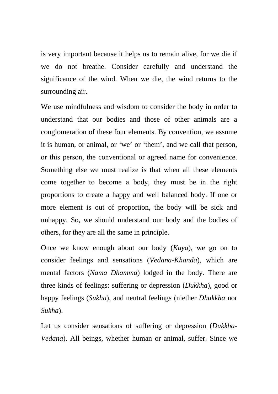is very important because it helps us to remain alive, for we die if we do not breathe. Consider carefully and understand the significance of the wind. When we die, the wind returns to the surrounding air.

We use mindfulness and wisdom to consider the body in order to understand that our bodies and those of other animals are a conglomeration of these four elements. By convention, we assume it is human, or animal, or 'we' or 'them', and we call that person, or this person, the conventional or agreed name for convenience. Something else we must realize is that when all these elements come together to become a body, they must be in the right proportions to create a happy and well balanced body. If one or more element is out of proportion, the body will be sick and unhappy. So, we should understand our body and the bodies of others, for they are all the same in principle.

Once we know enough about our body (*Kaya*), we go on to consider feelings and sensations (*Vedana-Khanda*), which are mental factors (*Nama Dhamma*) lodged in the body. There are three kinds of feelings: suffering or depression (*Dukkha*), good or happy feelings (*Sukha*), and neutral feelings (niether *Dhukkha* nor *Sukha*).

Let us consider sensations of suffering or depression (*Dukkha-Vedana*). All beings, whether human or animal, suffer. Since we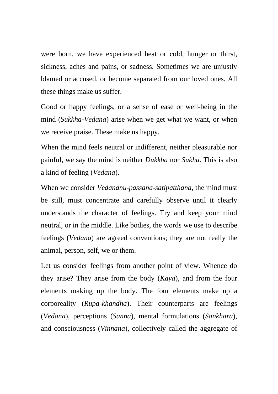were born, we have experienced heat or cold, hunger or thirst, sickness, aches and pains, or sadness. Sometimes we are unjustly blamed or accused, or become separated from our loved ones. All these things make us suffer.

Good or happy feelings, or a sense of ease or well-being in the mind (*Sukkha-Vedana*) arise when we get what we want, or when we receive praise. These make us happy.

When the mind feels neutral or indifferent, neither pleasurable nor painful, we say the mind is neither *Dukkha* nor *Sukha*. This is also a kind of feeling (*Vedana*).

When we consider *Vedananu-passana-satipatthana*, the mind must be still, must concentrate and carefully observe until it clearly understands the character of feelings. Try and keep your mind neutral, or in the middle. Like bodies, the words we use to describe feelings (*Vedana*) are agreed conventions; they are not really the animal, person, self, we or them.

Let us consider feelings from another point of view. Whence do they arise? They arise from the body (*Kaya*), and from the four elements making up the body. The four elements make up a corporeality (*Rupa-khandha*). Their counterparts are feelings (*Vedana*), perceptions (*Sanna*), mental formulations (*Sankhara*), and consciousness (*Vinnana*), collectively called the aggregate of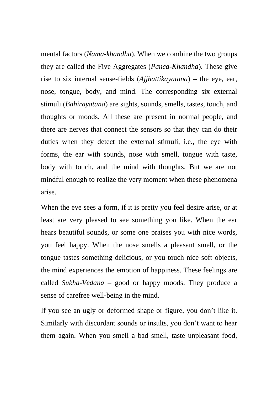mental factors (*Nama-khandha*). When we combine the two groups they are called the Five Aggregates (*Panca-Khandha*). These give rise to six internal sense-fields (*Ajjhattikayatana*) – the eye, ear, nose, tongue, body, and mind. The corresponding six external stimuli (*Bahirayatana*) are sights, sounds, smells, tastes, touch, and thoughts or moods. All these are present in normal people, and there are nerves that connect the sensors so that they can do their duties when they detect the external stimuli, i.e., the eye with forms, the ear with sounds, nose with smell, tongue with taste, body with touch, and the mind with thoughts. But we are not mindful enough to realize the very moment when these phenomena arise.

When the eye sees a form, if it is pretty you feel desire arise, or at least are very pleased to see something you like. When the ear hears beautiful sounds, or some one praises you with nice words, you feel happy. When the nose smells a pleasant smell, or the tongue tastes something delicious, or you touch nice soft objects, the mind experiences the emotion of happiness. These feelings are called *Sukha-Vedana* – good or happy moods. They produce a sense of carefree well-being in the mind.

If you see an ugly or deformed shape or figure, you don't like it. Similarly with discordant sounds or insults, you don't want to hear them again. When you smell a bad smell, taste unpleasant food,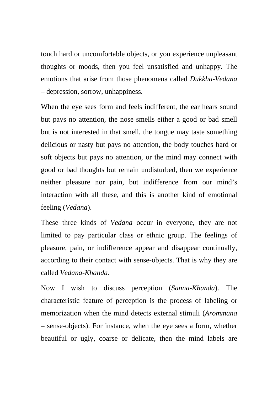touch hard or uncomfortable objects, or you experience unpleasant thoughts or moods, then you feel unsatisfied and unhappy. The emotions that arise from those phenomena called *Dukkha-Vedana*  – depression, sorrow, unhappiness.

When the eye sees form and feels indifferent, the ear hears sound but pays no attention, the nose smells either a good or bad smell but is not interested in that smell, the tongue may taste something delicious or nasty but pays no attention, the body touches hard or soft objects but pays no attention, or the mind may connect with good or bad thoughts but remain undisturbed, then we experience neither pleasure nor pain, but indifference from our mind's interaction with all these, and this is another kind of emotional feeling (*Vedana*).

These three kinds of *Vedana* occur in everyone, they are not limited to pay particular class or ethnic group. The feelings of pleasure, pain, or indifference appear and disappear continually, according to their contact with sense-objects. That is why they are called *Vedana-Khanda.* 

Now I wish to discuss perception (*Sanna-Khanda*). The characteristic feature of perception is the process of labeling or memorization when the mind detects external stimuli (*Arommana*  – sense-objects). For instance, when the eye sees a form, whether beautiful or ugly, coarse or delicate, then the mind labels are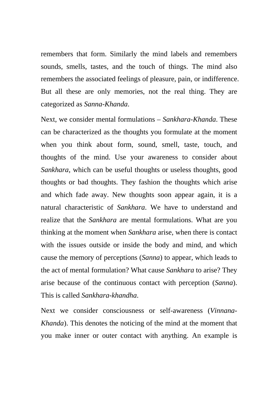remembers that form. Similarly the mind labels and remembers sounds, smells, tastes, and the touch of things. The mind also remembers the associated feelings of pleasure, pain, or indifference. But all these are only memories, not the real thing. They are categorized as *Sanna-Khanda*.

Next, we consider mental formulations – *Sankhara-Khanda*. These can be characterized as the thoughts you formulate at the moment when you think about form, sound, smell, taste, touch, and thoughts of the mind. Use your awareness to consider about *Sankhara*, which can be useful thoughts or useless thoughts, good thoughts or bad thoughts. They fashion the thoughts which arise and which fade away. New thoughts soon appear again, it is a natural characteristic of *Sankhara*. We have to understand and realize that the *Sankhara* are mental formulations. What are you thinking at the moment when *Sankhara* arise, when there is contact with the issues outside or inside the body and mind, and which cause the memory of perceptions (*Sanna*) to appear, which leads to the act of mental formulation? What cause *Sankhara* to arise? They arise because of the continuous contact with perception (*Sanna*). This is called *Sankhara-khandha*.

Next we consider consciousness or self-awareness (*Vinnana-Khanda*). This denotes the noticing of the mind at the moment that you make inner or outer contact with anything. An example is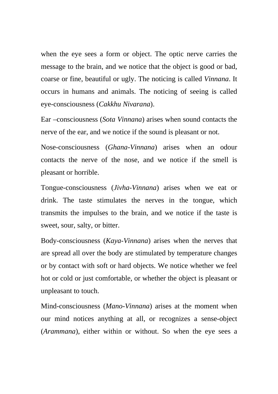when the eye sees a form or object. The optic nerve carries the message to the brain, and we notice that the object is good or bad, coarse or fine, beautiful or ugly. The noticing is called *Vinnana*. It occurs in humans and animals. The noticing of seeing is called eye-consciousness (*Cakkhu Nivarana*).

Ear –consciousness (*Sota Vinnana*) arises when sound contacts the nerve of the ear, and we notice if the sound is pleasant or not.

Nose-consciousness (*Ghana-Vinnana*) arises when an odour contacts the nerve of the nose, and we notice if the smell is pleasant or horrible.

Tongue-consciousness (*Jivha-Vinnana*) arises when we eat or drink. The taste stimulates the nerves in the tongue, which transmits the impulses to the brain, and we notice if the taste is sweet, sour, salty, or bitter.

Body-consciousness (*Kaya-Vinnana*) arises when the nerves that are spread all over the body are stimulated by temperature changes or by contact with soft or hard objects. We notice whether we feel hot or cold or just comfortable, or whether the object is pleasant or unpleasant to touch.

Mind-consciousness (*Mano-Vinnana*) arises at the moment when our mind notices anything at all, or recognizes a sense-object (*Arammana*), either within or without. So when the eye sees a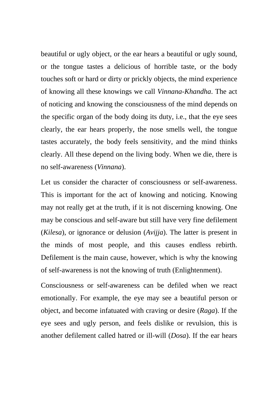beautiful or ugly object, or the ear hears a beautiful or ugly sound, or the tongue tastes a delicious of horrible taste, or the body touches soft or hard or dirty or prickly objects, the mind experience of knowing all these knowings we call *Vinnana-Khandha*. The act of noticing and knowing the consciousness of the mind depends on the specific organ of the body doing its duty, i.e., that the eye sees clearly, the ear hears properly, the nose smells well, the tongue tastes accurately, the body feels sensitivity, and the mind thinks clearly. All these depend on the living body. When we die, there is no self-awareness (*Vinnana*).

Let us consider the character of consciousness or self-awareness. This is important for the act of knowing and noticing. Knowing may not really get at the truth, if it is not discerning knowing. One may be conscious and self-aware but still have very fine defilement (*Kilesa*), or ignorance or delusion (*Avijja*). The latter is present in the minds of most people, and this causes endless rebirth. Defilement is the main cause, however, which is why the knowing of self-awareness is not the knowing of truth (Enlightenment).

Consciousness or self-awareness can be defiled when we react emotionally. For example, the eye may see a beautiful person or object, and become infatuated with craving or desire (*Raga*). If the eye sees and ugly person, and feels dislike or revulsion, this is another defilement called hatred or ill-will (*Dosa*). If the ear hears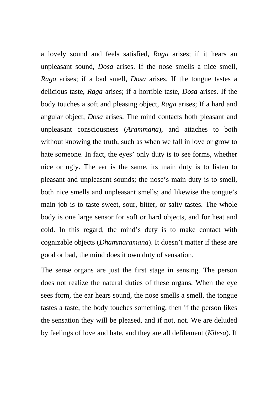a lovely sound and feels satisfied, *Raga* arises; if it hears an unpleasant sound, *Dosa* arises. If the nose smells a nice smell, *Raga* arises; if a bad smell, *Dosa* arises. If the tongue tastes a delicious taste, *Raga* arises; if a horrible taste, *Dosa* arises. If the body touches a soft and pleasing object, *Raga* arises; If a hard and angular object, *Dosa* arises. The mind contacts both pleasant and unpleasant consciousness (*Arammana*), and attaches to both without knowing the truth, such as when we fall in love or grow to hate someone. In fact, the eyes' only duty is to see forms, whether nice or ugly. The ear is the same, its main duty is to listen to pleasant and unpleasant sounds; the nose's main duty is to smell, both nice smells and unpleasant smells; and likewise the tongue's main job is to taste sweet, sour, bitter, or salty tastes. The whole body is one large sensor for soft or hard objects, and for heat and cold. In this regard, the mind's duty is to make contact with cognizable objects (*Dhammaramana*). It doesn't matter if these are good or bad, the mind does it own duty of sensation.

The sense organs are just the first stage in sensing. The person does not realize the natural duties of these organs. When the eye sees form, the ear hears sound, the nose smells a smell, the tongue tastes a taste, the body touches something, then if the person likes the sensation they will be pleased, and if not, not. We are deluded by feelings of love and hate, and they are all defilement (*Kilesa*). If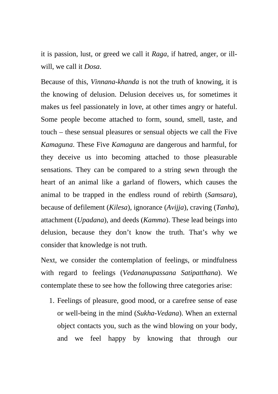it is passion, lust, or greed we call it *Raga*, if hatred, anger, or illwill, we call it *Dosa*.

Because of this, *Vinnana-khanda* is not the truth of knowing, it is the knowing of delusion. Delusion deceives us, for sometimes it makes us feel passionately in love, at other times angry or hateful. Some people become attached to form, sound, smell, taste, and touch – these sensual pleasures or sensual objects we call the Five *Kamaguna*. These Five *Kamaguna* are dangerous and harmful, for they deceive us into becoming attached to those pleasurable sensations. They can be compared to a string sewn through the heart of an animal like a garland of flowers, which causes the animal to be trapped in the endless round of rebirth (*Samsara*), because of defilement (*Kilesa*), ignorance (*Avijja*), craving (*Tanha*), attachment (*Upadana*), and deeds (*Kamma*). These lead beings into delusion, because they don't know the truth. That's why we consider that knowledge is not truth.

Next, we consider the contemplation of feelings, or mindfulness with regard to feelings (*Vedananupassana Satipatthana*). We contemplate these to see how the following three categories arise:

1. Feelings of pleasure, good mood, or a carefree sense of ease or well-being in the mind (*Sukha-Vedana*). When an external object contacts you, such as the wind blowing on your body, and we feel happy by knowing that through our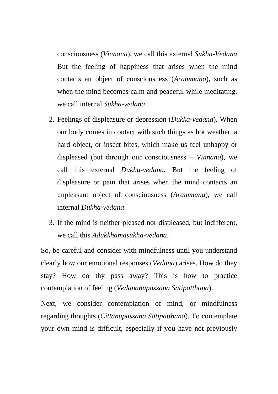consciousness (*Vinnana*), we call this external *Sukha-Vedana*. But the feeling of happiness that arises when the mind contacts an object of consciousness (*Arammana*), such as when the mind becomes calm and peaceful while meditating, we call internal *Sukha-vedana*.

- 2. Feelings of displeasure or depression (*Dukka-vedana*). When our body comes in contact with such things as hot weather, a hard object, or insect bites, which make us feel unhappy or displeased (but through our consciousness – *Vinnana*), we call this external *Dukha-vedana.* But the feeling of displeasure or pain that arises when the mind contacts an unpleasant object of consciousness (*Arammana*), we call internal *Dukha-vedana*.
- 3. If the mind is neither pleased nor displeased, but indifferent, we call this *Adukkhamasukha-vedana*.

So, be careful and consider with mindfulness until you understand clearly how our emotional responses (*Vedana*) arises. How do they stay? How do thy pass away? This is how to practice contemplation of feeling (*Vedananupassana Satipatthana*).

Next, we consider contemplation of mind, or mindfulness regarding thoughts (*Cittanupassana Satipatthana*). To contemplate your own mind is difficult, especially if you have not previously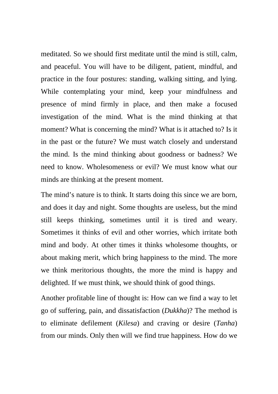meditated. So we should first meditate until the mind is still, calm, and peaceful. You will have to be diligent, patient, mindful, and practice in the four postures: standing, walking sitting, and lying. While contemplating your mind, keep your mindfulness and presence of mind firmly in place, and then make a focused investigation of the mind. What is the mind thinking at that moment? What is concerning the mind? What is it attached to? Is it in the past or the future? We must watch closely and understand the mind. Is the mind thinking about goodness or badness? We need to know. Wholesomeness or evil? We must know what our minds are thinking at the present moment.

The mind's nature is to think. It starts doing this since we are born, and does it day and night. Some thoughts are useless, but the mind still keeps thinking, sometimes until it is tired and weary. Sometimes it thinks of evil and other worries, which irritate both mind and body. At other times it thinks wholesome thoughts, or about making merit, which bring happiness to the mind. The more we think meritorious thoughts, the more the mind is happy and delighted. If we must think, we should think of good things.

Another profitable line of thought is: How can we find a way to let go of suffering, pain, and dissatisfaction (*Dukkha*)? The method is to eliminate defilement (*Kilesa*) and craving or desire (*Tanha*) from our minds. Only then will we find true happiness. How do we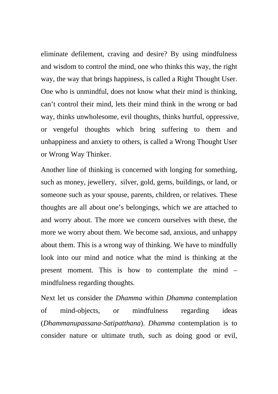eliminate defilement, craving and desire? By using mindfulness and wisdom to control the mind, one who thinks this way, the right way, the way that brings happiness, is called a Right Thought User. One who is unmindful, does not know what their mind is thinking, can't control their mind, lets their mind think in the wrong or bad way, thinks unwholesome, evil thoughts, thinks hurtful, oppressive, or vengeful thoughts which bring suffering to them and unhappiness and anxiety to others, is called a Wrong Thought User or Wrong Way Thinker.

Another line of thinking is concerned with longing for something, such as money, jewellery, silver, gold, gems, buildings, or land, or someone such as your spouse, parents, children, or relatives. These thoughts are all about one's belongings, which we are attached to and worry about. The more we concern ourselves with these, the more we worry about them. We become sad, anxious, and unhappy about them. This is a wrong way of thinking. We have to mindfully look into our mind and notice what the mind is thinking at the present moment. This is how to contemplate the mind – mindfulness regarding thoughts.

Next let us consider the *Dhamma* within *Dhamma* contemplation of mind-objects, or mindfulness regarding ideas (*Dhammanupassana-Satipatthana*). *Dhamma* contemplation is to consider nature or ultimate truth, such as doing good or evil,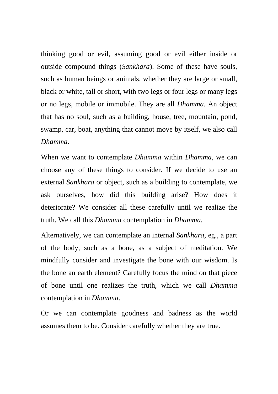thinking good or evil, assuming good or evil either inside or outside compound things (*Sankhara*). Some of these have souls, such as human beings or animals, whether they are large or small, black or white, tall or short, with two legs or four legs or many legs or no legs, mobile or immobile. They are all *Dhamma*. An object that has no soul, such as a building, house, tree, mountain, pond, swamp, car, boat, anything that cannot move by itself, we also call *Dhamma*.

When we want to contemplate *Dhamma* within *Dhamma*, we can choose any of these things to consider. If we decide to use an external *Sankhara* or object, such as a building to contemplate, we ask ourselves, how did this building arise? How does it deteriorate? We consider all these carefully until we realize the truth. We call this *Dhamma* contemplation in *Dhamma*.

Alternatively, we can contemplate an internal *Sankhara,* eg., a part of the body, such as a bone, as a subject of meditation. We mindfully consider and investigate the bone with our wisdom. Is the bone an earth element? Carefully focus the mind on that piece of bone until one realizes the truth, which we call *Dhamma*  contemplation in *Dhamma*.

Or we can contemplate goodness and badness as the world assumes them to be. Consider carefully whether they are true.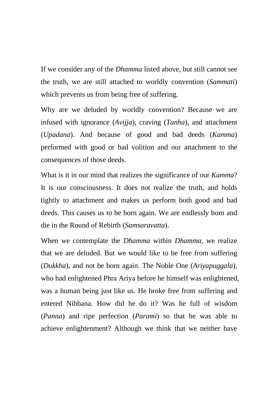If we consider any of the *Dhamma* listed above, but still cannot see the truth, we are still attached to worldly convention (*Sammati*) which prevents us from being free of suffering.

Why are we deluded by worldly convention? Because we are infused with ignorance (*Avijja*), craving (*Tanha*), and attachment (*Upadana*). And because of good and bad deeds (*Kamma*) performed with good or bad volition and our attachment to the consequences of those deeds.

What is it in our mind that realizes the significance of our *Kamma*? It is our consciousness. It does not realize the truth, and holds tightly to attachment and makes us perform both good and bad deeds. This causes us to be born again. We are endlessly born and die in the Round of Rebirth (*Samsaravatta*).

When we contemplate the *Dhamma* within *Dhamma*, we realize that we are deluded. But we would like to be free from suffering (*Dukkha*), and not be born again. The Noble One (*Ariyapuggala*), who had enlightened Phra Ariya before he himself was enlightened, was a human being just like us. He broke free from suffering and entered Nibbana. How did he do it? Was he full of wisdom (*Panna*) and ripe perfection (*Parami*) so that he was able to achieve enlightenment? Although we think that we neither have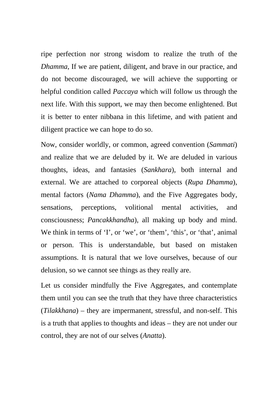ripe perfection nor strong wisdom to realize the truth of the *Dhamma*, If we are patient, diligent, and brave in our practice, and do not become discouraged, we will achieve the supporting or helpful condition called *Paccaya* which will follow us through the next life. With this support, we may then become enlightened. But it is better to enter nibbana in this lifetime, and with patient and diligent practice we can hope to do so.

Now, consider worldly, or common, agreed convention (*Sammati*) and realize that we are deluded by it. We are deluded in various thoughts, ideas, and fantasies (*Sankhara*), both internal and external. We are attached to corporeal objects (*Rupa Dhamma*), mental factors (*Nama Dhamma*), and the Five Aggregates body, sensations, perceptions, volitional mental activities, and consciousness; *Pancakkhandha*), all making up body and mind. We think in terms of 'I', or 'we', or 'them', 'this', or 'that', animal or person. This is understandable, but based on mistaken assumptions. It is natural that we love ourselves, because of our delusion, so we cannot see things as they really are.

Let us consider mindfully the Five Aggregates, and contemplate them until you can see the truth that they have three characteristics (*Tilakkhana*) – they are impermanent, stressful, and non-self. This is a truth that applies to thoughts and ideas – they are not under our control, they are not of our selves (*Anatta*).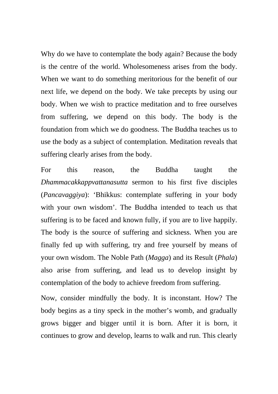Why do we have to contemplate the body again? Because the body is the centre of the world. Wholesomeness arises from the body. When we want to do something meritorious for the benefit of our next life, we depend on the body. We take precepts by using our body. When we wish to practice meditation and to free ourselves from suffering, we depend on this body. The body is the foundation from which we do goodness. The Buddha teaches us to use the body as a subject of contemplation. Meditation reveals that suffering clearly arises from the body.

For this reason, the Buddha taught the *Dhammacakkappvattanasutta* sermon to his first five disciples (*Pancavaggiya*): 'Bhikkus: contemplate suffering in your body with your own wisdom'. The Buddha intended to teach us that suffering is to be faced and known fully, if you are to live happily. The body is the source of suffering and sickness. When you are finally fed up with suffering, try and free yourself by means of your own wisdom. The Noble Path (*Magga*) and its Result (*Phala*) also arise from suffering, and lead us to develop insight by contemplation of the body to achieve freedom from suffering.

Now, consider mindfully the body. It is inconstant. How? The body begins as a tiny speck in the mother's womb, and gradually grows bigger and bigger until it is born. After it is born, it continues to grow and develop, learns to walk and run. This clearly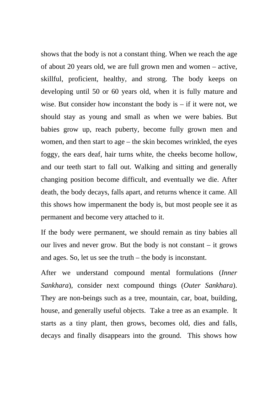shows that the body is not a constant thing. When we reach the age of about 20 years old, we are full grown men and women – active, skillful, proficient, healthy, and strong. The body keeps on developing until 50 or 60 years old, when it is fully mature and wise. But consider how inconstant the body is  $-$  if it were not, we should stay as young and small as when we were babies. But babies grow up, reach puberty, become fully grown men and women, and then start to age – the skin becomes wrinkled, the eyes foggy, the ears deaf, hair turns white, the cheeks become hollow, and our teeth start to fall out. Walking and sitting and generally changing position become difficult, and eventually we die. After death, the body decays, falls apart, and returns whence it came. All this shows how impermanent the body is, but most people see it as permanent and become very attached to it.

If the body were permanent, we should remain as tiny babies all our lives and never grow. But the body is not constant  $-$  it grows and ages. So, let us see the truth – the body is inconstant.

After we understand compound mental formulations (*Inner Sankhara*), consider next compound things (*Outer Sankhara*). They are non-beings such as a tree, mountain, car, boat, building, house, and generally useful objects. Take a tree as an example. It starts as a tiny plant, then grows, becomes old, dies and falls, decays and finally disappears into the ground. This shows how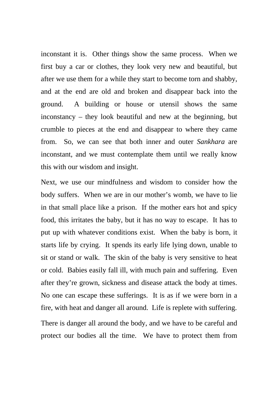inconstant it is. Other things show the same process. When we first buy a car or clothes, they look very new and beautiful, but after we use them for a while they start to become torn and shabby, and at the end are old and broken and disappear back into the ground. A building or house or utensil shows the same inconstancy – they look beautiful and new at the beginning, but crumble to pieces at the end and disappear to where they came from. So, we can see that both inner and outer *Sankhara* are inconstant, and we must contemplate them until we really know this with our wisdom and insight.

Next, we use our mindfulness and wisdom to consider how the body suffers. When we are in our mother's womb, we have to lie in that small place like a prison. If the mother ears hot and spicy food, this irritates the baby, but it has no way to escape. It has to put up with whatever conditions exist. When the baby is born, it starts life by crying. It spends its early life lying down, unable to sit or stand or walk. The skin of the baby is very sensitive to heat or cold. Babies easily fall ill, with much pain and suffering. Even after they're grown, sickness and disease attack the body at times. No one can escape these sufferings. It is as if we were born in a fire, with heat and danger all around. Life is replete with suffering. There is danger all around the body, and we have to be careful and protect our bodies all the time. We have to protect them from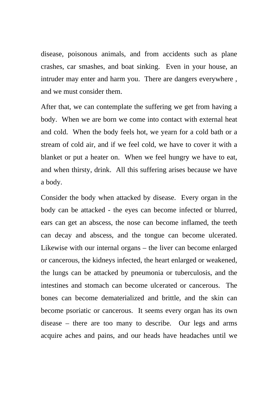disease, poisonous animals, and from accidents such as plane crashes, car smashes, and boat sinking. Even in your house, an intruder may enter and harm you. There are dangers everywhere , and we must consider them.

After that, we can contemplate the suffering we get from having a body. When we are born we come into contact with external heat and cold. When the body feels hot, we yearn for a cold bath or a stream of cold air, and if we feel cold, we have to cover it with a blanket or put a heater on. When we feel hungry we have to eat, and when thirsty, drink. All this suffering arises because we have a body.

Consider the body when attacked by disease. Every organ in the body can be attacked - the eyes can become infected or blurred, ears can get an abscess, the nose can become inflamed, the teeth can decay and abscess, and the tongue can become ulcerated. Likewise with our internal organs – the liver can become enlarged or cancerous, the kidneys infected, the heart enlarged or weakened, the lungs can be attacked by pneumonia or tuberculosis, and the intestines and stomach can become ulcerated or cancerous. The bones can become dematerialized and brittle, and the skin can become psoriatic or cancerous. It seems every organ has its own disease – there are too many to describe. Our legs and arms acquire aches and pains, and our heads have headaches until we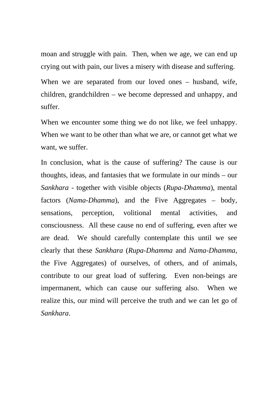moan and struggle with pain. Then, when we age, we can end up crying out with pain, our lives a misery with disease and suffering.

When we are separated from our loved ones – husband, wife, children, grandchildren – we become depressed and unhappy, and suffer.

When we encounter some thing we do not like, we feel unhappy. When we want to be other than what we are, or cannot get what we want, we suffer.

In conclusion, what is the cause of suffering? The cause is our thoughts, ideas, and fantasies that we formulate in our minds – our *Sankhara* - together with visible objects (*Rupa-Dhamma*), mental factors (*Nama-Dhamma*), and the Five Aggregates – body, sensations, perception, volitional mental activities, and consciousness. All these cause no end of suffering, even after we are dead. We should carefully contemplate this until we see clearly that these *Sankhara* (*Rupa-Dhamma* and *Nama-Dhamma*, the Five Aggregates) of ourselves, of others, and of animals, contribute to our great load of suffering. Even non-beings are impermanent, which can cause our suffering also. When we realize this, our mind will perceive the truth and we can let go of *Sankhara*.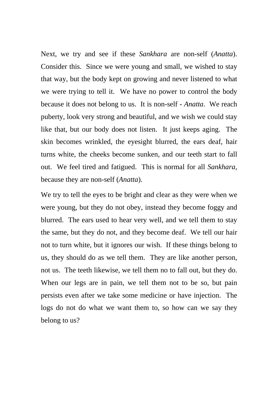Next, we try and see if these *Sankhara* are non-self (*Anatta*). Consider this. Since we were young and small, we wished to stay that way, but the body kept on growing and never listened to what we were trying to tell it. We have no power to control the body because it does not belong to us. It is non-self - *Anatta*. We reach puberty, look very strong and beautiful, and we wish we could stay like that, but our body does not listen. It just keeps aging. The skin becomes wrinkled, the eyesight blurred, the ears deaf, hair turns white, the cheeks become sunken, and our teeth start to fall out. We feel tired and fatigued. This is normal for all *Sankhara*, because they are non-self (*Anatta*).

We try to tell the eyes to be bright and clear as they were when we were young, but they do not obey, instead they become foggy and blurred. The ears used to hear very well, and we tell them to stay the same, but they do not, and they become deaf. We tell our hair not to turn white, but it ignores our wish. If these things belong to us, they should do as we tell them. They are like another person, not us. The teeth likewise, we tell them no to fall out, but they do. When our legs are in pain, we tell them not to be so, but pain persists even after we take some medicine or have injection. The logs do not do what we want them to, so how can we say they belong to us?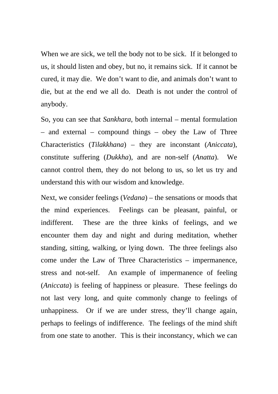When we are sick, we tell the body not to be sick. If it belonged to us, it should listen and obey, but no, it remains sick. If it cannot be cured, it may die. We don't want to die, and animals don't want to die, but at the end we all do. Death is not under the control of anybody.

So, you can see that *Sankhara*, both internal – mental formulation – and external – compound things – obey the Law of Three Characteristics (*Tilakkhana*) – they are inconstant (*Aniccata*), constitute suffering (*Dukkha*), and are non-self (*Anatta*). We cannot control them, they do not belong to us, so let us try and understand this with our wisdom and knowledge.

Next, we consider feelings (*Vedana*) – the sensations or moods that the mind experiences. Feelings can be pleasant, painful, or indifferent. These are the three kinks of feelings, and we encounter them day and night and during meditation, whether standing, sitting, walking, or lying down. The three feelings also come under the Law of Three Characteristics – impermanence, stress and not-self. An example of impermanence of feeling (*Aniccata*) is feeling of happiness or pleasure. These feelings do not last very long, and quite commonly change to feelings of unhappiness. Or if we are under stress, they'll change again, perhaps to feelings of indifference. The feelings of the mind shift from one state to another. This is their inconstancy, which we can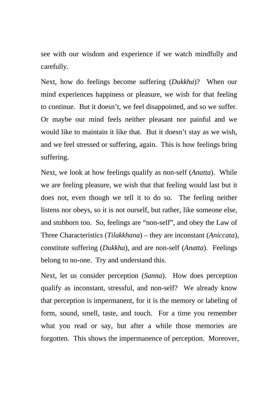see with our wisdom and experience if we watch mindfully and carefully.

Next, how do feelings become suffering (*Dukkha*)? When our mind experiences happiness or pleasure, we wish for that feeling to continue. But it doesn't, we feel disappointed, and so we suffer. Or maybe our mind feels neither pleasant nor painful and we would like to maintain it like that. But it doesn't stay as we wish, and we feel stressed or suffering, again. This is how feelings bring suffering.

Next, we look at how feelings qualify as non-self (*Anatta*). While we are feeling pleasure, we wish that that feeling would last but it does not, even though we tell it to do so. The feeling neither listens nor obeys, so it is not ourself, but rather, like someone else, and stubborn too. So, feelings are "non-self", and obey the Law of Three Characteristics (*Tilakkhana*) – they are inconstant (*Aniccata*), constitute suffering (*Dukkha*), and are non-self (*Anatta*). Feelings belong to no-one. Try and understand this.

Next, let us consider perception (*Sanna*). How does perception qualify as inconstant, stressful, and non-self? We already know that perception is impermanent, for it is the memory or labeling of form, sound, smell, taste, and touch. For a time you remember what you read or say, but after a while those memories are forgotten. This shows the impermanence of perception. Moreover,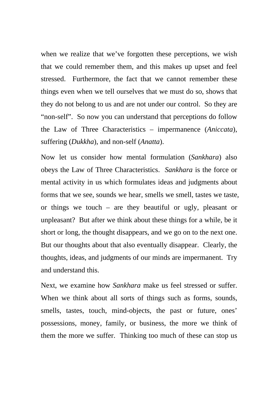when we realize that we've forgotten these perceptions, we wish that we could remember them, and this makes up upset and feel stressed. Furthermore, the fact that we cannot remember these things even when we tell ourselves that we must do so, shows that they do not belong to us and are not under our control. So they are "non-self". So now you can understand that perceptions do follow the Law of Three Characteristics – impermanence (*Aniccata*), suffering (*Dukkha*), and non-self (*Anatta*).

Now let us consider how mental formulation (*Sankhara*) also obeys the Law of Three Characteristics. *Sankhara* is the force or mental activity in us which formulates ideas and judgments about forms that we see, sounds we hear, smells we smell, tastes we taste, or things we touch – are they beautiful or ugly, pleasant or unpleasant? But after we think about these things for a while, be it short or long, the thought disappears, and we go on to the next one. But our thoughts about that also eventually disappear. Clearly, the thoughts, ideas, and judgments of our minds are impermanent. Try and understand this.

Next, we examine how *Sankhara* make us feel stressed or suffer. When we think about all sorts of things such as forms, sounds, smells, tastes, touch, mind-objects, the past or future, ones' possessions, money, family, or business, the more we think of them the more we suffer. Thinking too much of these can stop us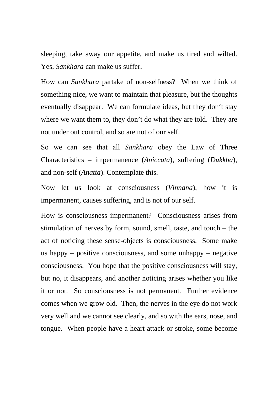sleeping, take away our appetite, and make us tired and wilted. Yes, *Sankhara* can make us suffer.

How can *Sankhara* partake of non-selfness? When we think of something nice, we want to maintain that pleasure, but the thoughts eventually disappear. We can formulate ideas, but they don't stay where we want them to, they don't do what they are told. They are not under out control, and so are not of our self.

So we can see that all *Sankhara* obey the Law of Three Characteristics – impermanence (*Aniccata*), suffering (*Dukkha*), and non-self (*Anatta*). Contemplate this.

Now let us look at consciousness (*Vinnana*), how it is impermanent, causes suffering, and is not of our self.

How is consciousness impermanent? Consciousness arises from stimulation of nerves by form, sound, smell, taste, and touch – the act of noticing these sense-objects is consciousness. Some make us happy – positive consciousness, and some unhappy – negative consciousness. You hope that the positive consciousness will stay, but no, it disappears, and another noticing arises whether you like it or not. So consciousness is not permanent. Further evidence comes when we grow old. Then, the nerves in the eye do not work very well and we cannot see clearly, and so with the ears, nose, and tongue. When people have a heart attack or stroke, some become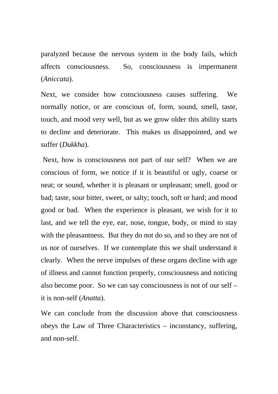paralyzed because the nervous system in the body fails, which affects consciousness. So, consciousness is impermanent (*Aniccata*).

Next, we consider how consciousness causes suffering. We normally notice, or are conscious of, form, sound, smell, taste, touch, and mood very well, but as we grow older this ability starts to decline and deteriorate. This makes us disappointed, and we suffer (*Dukkha*).

 Next, how is consciousness not part of our self? When we are conscious of form, we notice if it is beautiful or ugly, coarse or neat; or sound, whether it is pleasant or unpleasant; smell, good or bad; taste, sour bitter, sweet, or salty; touch, soft or hard; and mood good or bad. When the experience is pleasant, we wish for it to last, and we tell the eye, ear, nose, tongue, body, or mind to stay with the pleasantness. But they do not do so, and so they are not of us nor of ourselves. If we contemplate this we shall understand it clearly. When the nerve impulses of these organs decline with age of illness and cannot function properly, consciousness and noticing also become poor. So we can say consciousness is not of our self – it is non-self (*Anatta*).

We can conclude from the discussion above that consciousness obeys the Law of Three Characteristics – inconstancy, suffering, and non-self.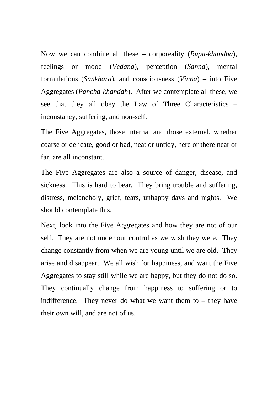Now we can combine all these – corporeality (*Rupa-khandha*), feelings or mood (*Vedana*), perception (*Sanna*), mental formulations (*Sankhara*), and consciousness (*Vinna*) – into Five Aggregates (*Pancha-khandah*). After we contemplate all these, we see that they all obey the Law of Three Characteristics – inconstancy, suffering, and non-self.

The Five Aggregates, those internal and those external, whether coarse or delicate, good or bad, neat or untidy, here or there near or far, are all inconstant.

The Five Aggregates are also a source of danger, disease, and sickness. This is hard to bear. They bring trouble and suffering, distress, melancholy, grief, tears, unhappy days and nights. We should contemplate this.

Next, look into the Five Aggregates and how they are not of our self. They are not under our control as we wish they were. They change constantly from when we are young until we are old. They arise and disappear. We all wish for happiness, and want the Five Aggregates to stay still while we are happy, but they do not do so. They continually change from happiness to suffering or to indifference. They never do what we want them to – they have their own will, and are not of us.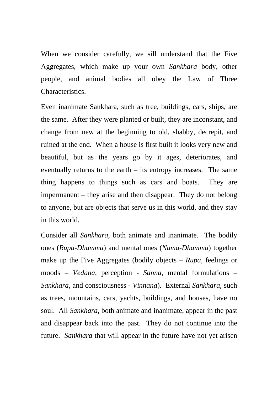When we consider carefully, we sill understand that the Five Aggregates, which make up your own *Sankhara* body, other people, and animal bodies all obey the Law of Three Characteristics.

Even inanimate Sankhara, such as tree, buildings, cars, ships, are the same. After they were planted or built, they are inconstant, and change from new at the beginning to old, shabby, decrepit, and ruined at the end. When a house is first built it looks very new and beautiful, but as the years go by it ages, deteriorates, and eventually returns to the earth – its entropy increases. The same thing happens to things such as cars and boats. They are impermanent – they arise and then disappear. They do not belong to anyone, but are objects that serve us in this world, and they stay in this world.

Consider all *Sankhara*, both animate and inanimate. The bodily ones (*Rupa-Dhamma*) and mental ones (*Nama-Dhamma*) together make up the Five Aggregates (bodily objects – *Rupa*, feelings or moods – *Vedana*, perception - *Sanna*, mental formulations – *Sankhara*, and consciousness - *Vinnana*). External *Sankhara*, such as trees, mountains, cars, yachts, buildings, and houses, have no soul. All *Sankhara*, both animate and inanimate, appear in the past and disappear back into the past. They do not continue into the future. *Sankhara* that will appear in the future have not yet arisen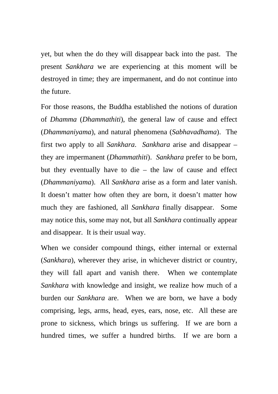yet, but when the do they will disappear back into the past. The present *Sankhara* we are experiencing at this moment will be destroyed in time; they are impermanent, and do not continue into the future.

For those reasons, the Buddha established the notions of duration of *Dhamma* (*Dhammathiti*), the general law of cause and effect (*Dhammaniyama*), and natural phenomena (*Sabhavadhama*). The first two apply to all *Sankhara*. *Sankhara* arise and disappear – they are impermanent (*Dhammathiti*). *Sankhara* prefer to be born, but they eventually have to die – the law of cause and effect (*Dhammaniyama*). All *Sankhara* arise as a form and later vanish. It doesn't matter how often they are born, it doesn't matter how much they are fashioned, all *Sankhara* finally disappear. Some may notice this, some may not, but all *Sankhara* continually appear and disappear. It is their usual way.

When we consider compound things, either internal or external (*Sankhara*), wherever they arise, in whichever district or country, they will fall apart and vanish there. When we contemplate *Sankhara* with knowledge and insight, we realize how much of a burden our *Sankhara* are. When we are born, we have a body comprising, legs, arms, head, eyes, ears, nose, etc. All these are prone to sickness, which brings us suffering. If we are born a hundred times, we suffer a hundred births. If we are born a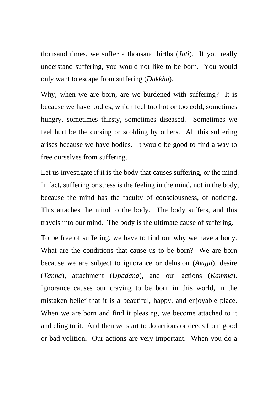thousand times, we suffer a thousand births (*Jati*). If you really understand suffering, you would not like to be born. You would only want to escape from suffering (*Dukkha*).

Why, when we are born, are we burdened with suffering? It is because we have bodies, which feel too hot or too cold, sometimes hungry, sometimes thirsty, sometimes diseased. Sometimes we feel hurt be the cursing or scolding by others. All this suffering arises because we have bodies. It would be good to find a way to free ourselves from suffering.

Let us investigate if it is the body that causes suffering, or the mind. In fact, suffering or stress is the feeling in the mind, not in the body, because the mind has the faculty of consciousness, of noticing. This attaches the mind to the body. The body suffers, and this travels into our mind. The body is the ultimate cause of suffering.

To be free of suffering, we have to find out why we have a body. What are the conditions that cause us to be born? We are born because we are subject to ignorance or delusion (*Avijja*), desire (*Tanha*), attachment (*Upadana*), and our actions (*Kamma*). Ignorance causes our craving to be born in this world, in the mistaken belief that it is a beautiful, happy, and enjoyable place. When we are born and find it pleasing, we become attached to it and cling to it. And then we start to do actions or deeds from good or bad volition. Our actions are very important. When you do a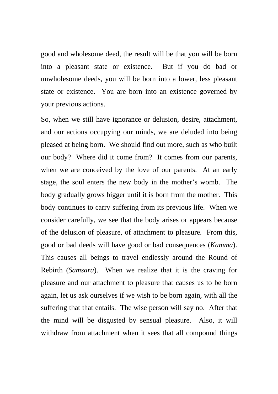good and wholesome deed, the result will be that you will be born into a pleasant state or existence. But if you do bad or unwholesome deeds, you will be born into a lower, less pleasant state or existence. You are born into an existence governed by your previous actions.

So, when we still have ignorance or delusion, desire, attachment, and our actions occupying our minds, we are deluded into being pleased at being born. We should find out more, such as who built our body? Where did it come from? It comes from our parents, when we are conceived by the love of our parents. At an early stage, the soul enters the new body in the mother's womb. The body gradually grows bigger until it is born from the mother. This body continues to carry suffering from its previous life. When we consider carefully, we see that the body arises or appears because of the delusion of pleasure, of attachment to pleasure. From this, good or bad deeds will have good or bad consequences (*Kamma*). This causes all beings to travel endlessly around the Round of Rebirth (*Samsara*). When we realize that it is the craving for pleasure and our attachment to pleasure that causes us to be born again, let us ask ourselves if we wish to be born again, with all the suffering that that entails. The wise person will say no. After that the mind will be disgusted by sensual pleasure. Also, it will withdraw from attachment when it sees that all compound things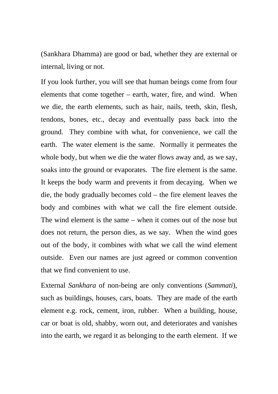(Sankhara Dhamma) are good or bad, whether they are external or internal, living or not.

If you look further, you will see that human beings come from four elements that come together – earth, water, fire, and wind. When we die, the earth elements, such as hair, nails, teeth, skin, flesh, tendons, bones, etc., decay and eventually pass back into the ground. They combine with what, for convenience, we call the earth. The water element is the same. Normally it permeates the whole body, but when we die the water flows away and, as we say, soaks into the ground or evaporates. The fire element is the same. It keeps the body warm and prevents it from decaying. When we die, the body gradually becomes cold – the fire element leaves the body and combines with what we call the fire element outside. The wind element is the same – when it comes out of the nose but does not return, the person dies, as we say. When the wind goes out of the body, it combines with what we call the wind element outside. Even our names are just agreed or common convention that we find convenient to use.

External *Sankhara* of non-being are only conventions (*Sammati*), such as buildings, houses, cars, boats. They are made of the earth element e.g. rock, cement, iron, rubber. When a building, house, car or boat is old, shabby, worn out, and deteriorates and vanishes into the earth, we regard it as belonging to the earth element. If we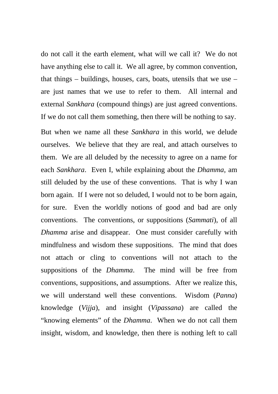do not call it the earth element, what will we call it? We do not have anything else to call it. We all agree, by common convention, that things – buildings, houses, cars, boats, utensils that we use – are just names that we use to refer to them. All internal and external *Sankhara* (compound things) are just agreed conventions. If we do not call them something, then there will be nothing to say.

But when we name all these *Sankhara* in this world, we delude ourselves. We believe that they are real, and attach ourselves to them. We are all deluded by the necessity to agree on a name for each *Sankhara*. Even I, while explaining about the *Dhamma*, am still deluded by the use of these conventions. That is why I wan born again. If I were not so deluded, I would not to be born again, for sure. Even the worldly notions of good and bad are only conventions. The conventions, or suppositions (*Sammati*), of all *Dhamma* arise and disappear. One must consider carefully with mindfulness and wisdom these suppositions. The mind that does not attach or cling to conventions will not attach to the suppositions of the *Dhamma*. The mind will be free from conventions, suppositions, and assumptions. After we realize this, we will understand well these conventions. Wisdom (*Panna*) knowledge (*Vijja*), and insight (*Vipassana*) are called the "knowing elements" of the *Dhamma*. When we do not call them insight, wisdom, and knowledge, then there is nothing left to call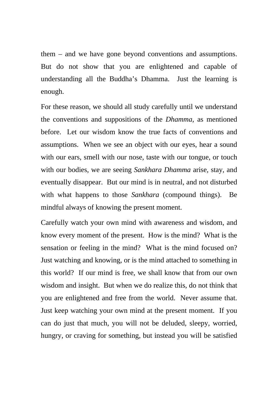them – and we have gone beyond conventions and assumptions. But do not show that you are enlightened and capable of understanding all the Buddha's Dhamma. Just the learning is enough.

For these reason, we should all study carefully until we understand the conventions and suppositions of the *Dhamma*, as mentioned before. Let our wisdom know the true facts of conventions and assumptions. When we see an object with our eyes, hear a sound with our ears, smell with our nose, taste with our tongue, or touch with our bodies, we are seeing *Sankhara Dhamma* arise, stay, and eventually disappear. But our mind is in neutral, and not disturbed with what happens to those *Sankhara* (compound things). Be mindful always of knowing the present moment.

Carefully watch your own mind with awareness and wisdom, and know every moment of the present. How is the mind? What is the sensation or feeling in the mind? What is the mind focused on? Just watching and knowing, or is the mind attached to something in this world? If our mind is free, we shall know that from our own wisdom and insight. But when we do realize this, do not think that you are enlightened and free from the world. Never assume that. Just keep watching your own mind at the present moment. If you can do just that much, you will not be deluded, sleepy, worried, hungry, or craving for something, but instead you will be satisfied